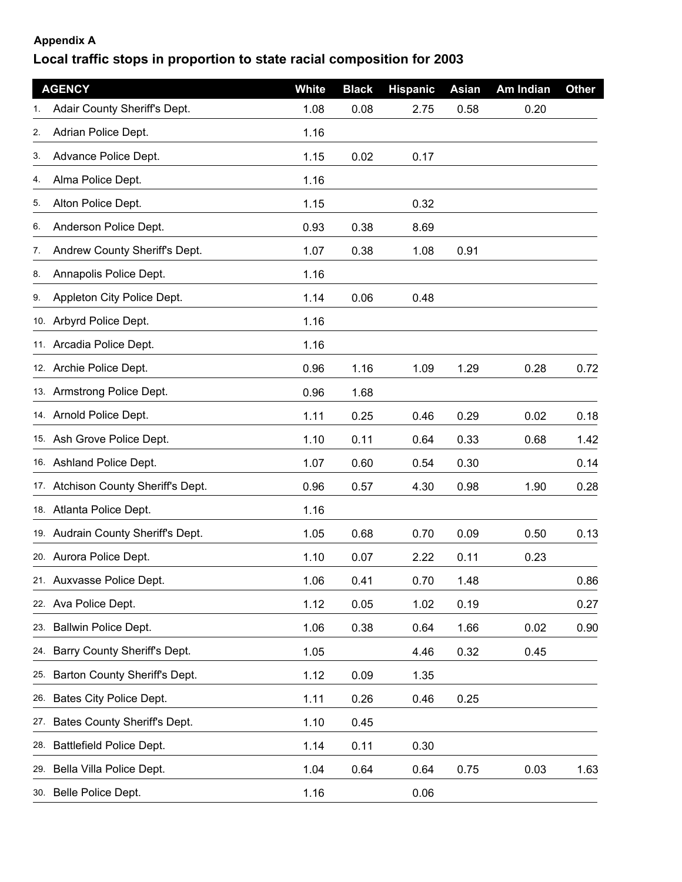## **Appendix A**

## **Local traffic stops in proportion to state racial composition for 2003**

|     | <b>AGENCY</b>                       | <b>White</b> | <b>Black</b> | <b>Hispanic</b> | Asian | Am Indian | <b>Other</b> |
|-----|-------------------------------------|--------------|--------------|-----------------|-------|-----------|--------------|
| 1.  | Adair County Sheriff's Dept.        | 1.08         | 0.08         | 2.75            | 0.58  | 0.20      |              |
| 2.  | Adrian Police Dept.                 | 1.16         |              |                 |       |           |              |
| 3.  | Advance Police Dept.                | 1.15         | 0.02         | 0.17            |       |           |              |
| 4.  | Alma Police Dept.                   | 1.16         |              |                 |       |           |              |
| 5.  | Alton Police Dept.                  | 1.15         |              | 0.32            |       |           |              |
| 6.  | Anderson Police Dept.               | 0.93         | 0.38         | 8.69            |       |           |              |
| 7.  | Andrew County Sheriff's Dept.       | 1.07         | 0.38         | 1.08            | 0.91  |           |              |
| 8.  | Annapolis Police Dept.              | 1.16         |              |                 |       |           |              |
| 9.  | Appleton City Police Dept.          | 1.14         | 0.06         | 0.48            |       |           |              |
|     | 10. Arbyrd Police Dept.             | 1.16         |              |                 |       |           |              |
|     | 11. Arcadia Police Dept.            | 1.16         |              |                 |       |           |              |
|     | 12. Archie Police Dept.             | 0.96         | 1.16         | 1.09            | 1.29  | 0.28      | 0.72         |
|     | 13. Armstrong Police Dept.          | 0.96         | 1.68         |                 |       |           |              |
|     | 14. Arnold Police Dept.             | 1.11         | 0.25         | 0.46            | 0.29  | 0.02      | 0.18         |
|     | 15. Ash Grove Police Dept.          | 1.10         | 0.11         | 0.64            | 0.33  | 0.68      | 1.42         |
|     | 16. Ashland Police Dept.            | 1.07         | 0.60         | 0.54            | 0.30  |           | 0.14         |
|     | 17. Atchison County Sheriff's Dept. | 0.96         | 0.57         | 4.30            | 0.98  | 1.90      | 0.28         |
|     | 18. Atlanta Police Dept.            | 1.16         |              |                 |       |           |              |
|     | 19. Audrain County Sheriff's Dept.  | 1.05         | 0.68         | 0.70            | 0.09  | 0.50      | 0.13         |
|     | 20. Aurora Police Dept.             | 1.10         | 0.07         | 2.22            | 0.11  | 0.23      |              |
|     | 21. Auxvasse Police Dept.           | 1.06         | 0.41         | 0.70            | 1.48  |           | 0.86         |
| 22. | Ava Police Dept.                    | 1.12         | 0.05         | 1.02            | 0.19  |           | 0.27         |
| 23. | Ballwin Police Dept.                | 1.06         | 0.38         | 0.64            | 1.66  | 0.02      | 0.90         |
| 24. | Barry County Sheriff's Dept.        | 1.05         |              | 4.46            | 0.32  | 0.45      |              |
| 25. | Barton County Sheriff's Dept.       | 1.12         | 0.09         | 1.35            |       |           |              |
|     | 26. Bates City Police Dept.         | 1.11         | 0.26         | 0.46            | 0.25  |           |              |
| 27. | Bates County Sheriff's Dept.        | 1.10         | 0.45         |                 |       |           |              |
| 28. | Battlefield Police Dept.            | 1.14         | 0.11         | 0.30            |       |           |              |
| 29. | Bella Villa Police Dept.            | 1.04         | 0.64         | 0.64            | 0.75  | 0.03      | 1.63         |
|     | 30. Belle Police Dept.              | 1.16         |              | 0.06            |       |           |              |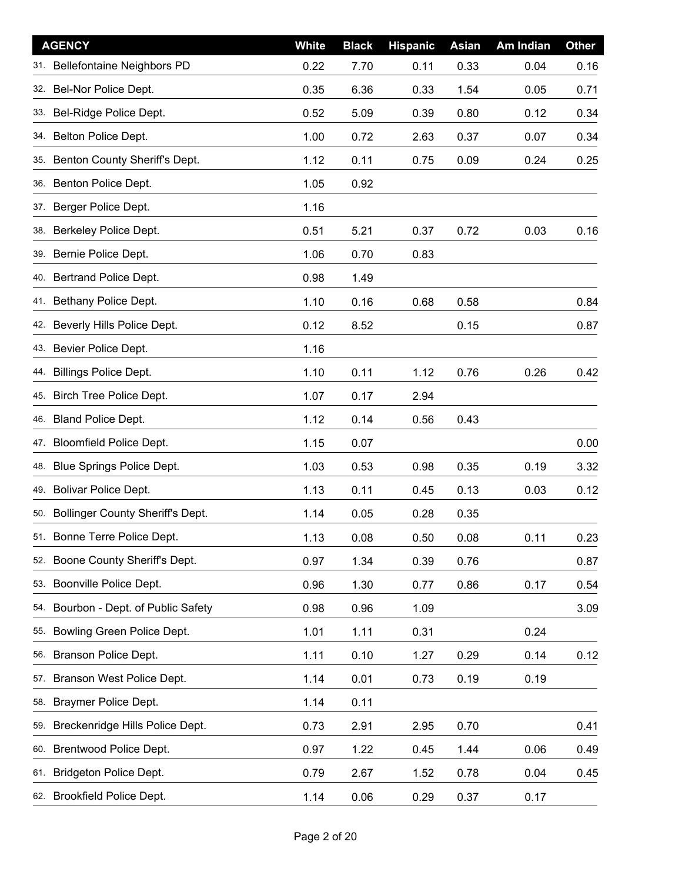| <b>AGENCY</b>                           | <b>White</b> | <b>Black</b> | <b>Hispanic</b> | <b>Asian</b> | Am Indian | <b>Other</b> |
|-----------------------------------------|--------------|--------------|-----------------|--------------|-----------|--------------|
| Bellefontaine Neighbors PD<br>31.       | 0.22         | 7.70         | 0.11            | 0.33         | 0.04      | 0.16         |
| Bel-Nor Police Dept.<br>32.             | 0.35         | 6.36         | 0.33            | 1.54         | 0.05      | 0.71         |
| Bel-Ridge Police Dept.<br>33.           | 0.52         | 5.09         | 0.39            | 0.80         | 0.12      | 0.34         |
| Belton Police Dept.<br>34.              | 1.00         | 0.72         | 2.63            | 0.37         | 0.07      | 0.34         |
| Benton County Sheriff's Dept.<br>35.    | 1.12         | 0.11         | 0.75            | 0.09         | 0.24      | 0.25         |
| Benton Police Dept.<br>36.              | 1.05         | 0.92         |                 |              |           |              |
| 37. Berger Police Dept.                 | 1.16         |              |                 |              |           |              |
| Berkeley Police Dept.<br>38.            | 0.51         | 5.21         | 0.37            | 0.72         | 0.03      | 0.16         |
| 39. Bernie Police Dept.                 | 1.06         | 0.70         | 0.83            |              |           |              |
| 40. Bertrand Police Dept.               | 0.98         | 1.49         |                 |              |           |              |
| 41. Bethany Police Dept.                | 1.10         | 0.16         | 0.68            | 0.58         |           | 0.84         |
| Beverly Hills Police Dept.<br>42.       | 0.12         | 8.52         |                 | 0.15         |           | 0.87         |
| 43. Bevier Police Dept.                 | 1.16         |              |                 |              |           |              |
| <b>Billings Police Dept.</b><br>44.     | 1.10         | 0.11         | 1.12            | 0.76         | 0.26      | 0.42         |
| 45. Birch Tree Police Dept.             | 1.07         | 0.17         | 2.94            |              |           |              |
| Bland Police Dept.<br>46.               | 1.12         | 0.14         | 0.56            | 0.43         |           |              |
| Bloomfield Police Dept.<br>47.          | 1.15         | 0.07         |                 |              |           | 0.00         |
| Blue Springs Police Dept.<br>48.        | 1.03         | 0.53         | 0.98            | 0.35         | 0.19      | 3.32         |
| 49. Bolivar Police Dept.                | 1.13         | 0.11         | 0.45            | 0.13         | 0.03      | 0.12         |
| Bollinger County Sheriff's Dept.<br>50. | 1.14         | 0.05         | 0.28            | 0.35         |           |              |
| 51. Bonne Terre Police Dept.            | 1.13         | 0.08         | 0.50            | 0.08         | 0.11      | 0.23         |
| Boone County Sheriff's Dept.<br>52.     | 0.97         | 1.34         | 0.39            | 0.76         |           | 0.87         |
| Boonville Police Dept.<br>53.           | 0.96         | 1.30         | 0.77            | 0.86         | 0.17      | 0.54         |
| Bourbon - Dept. of Public Safety<br>54. | 0.98         | 0.96         | 1.09            |              |           | 3.09         |
| Bowling Green Police Dept.<br>55.       | 1.01         | 1.11         | 0.31            |              | 0.24      |              |
| Branson Police Dept.<br>56.             | 1.11         | 0.10         | 1.27            | 0.29         | 0.14      | 0.12         |
| Branson West Police Dept.<br>57.        | 1.14         | 0.01         | 0.73            | 0.19         | 0.19      |              |
| Braymer Police Dept.<br>58.             | 1.14         | 0.11         |                 |              |           |              |
| Breckenridge Hills Police Dept.<br>59.  | 0.73         | 2.91         | 2.95            | 0.70         |           | 0.41         |
| Brentwood Police Dept.<br>60.           | 0.97         | 1.22         | 0.45            | 1.44         | 0.06      | 0.49         |
| Bridgeton Police Dept.<br>61.           | 0.79         | 2.67         | 1.52            | 0.78         | 0.04      | 0.45         |
| 62. Brookfield Police Dept.             | 1.14         | 0.06         | 0.29            | 0.37         | 0.17      |              |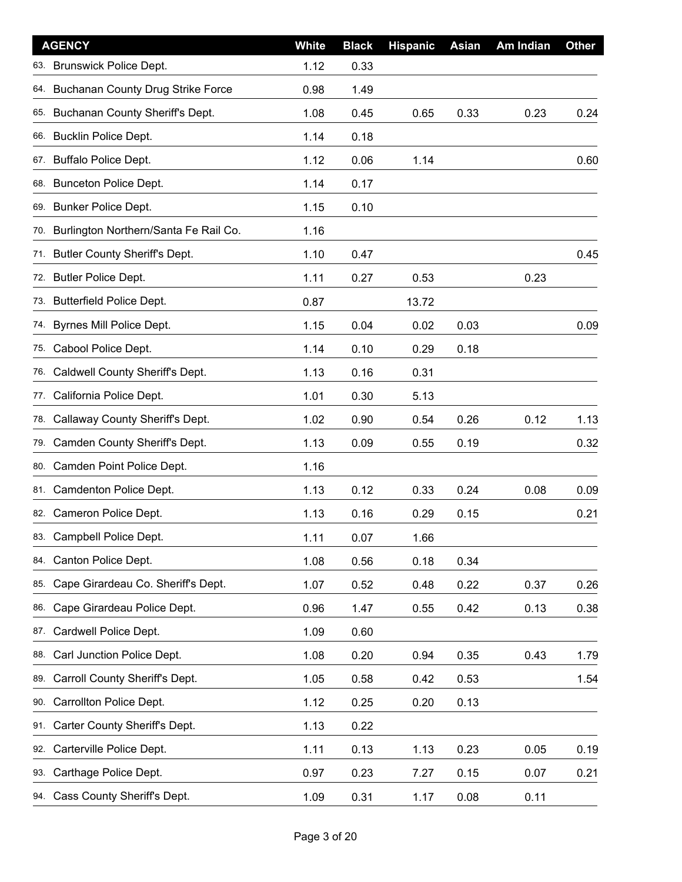| <b>AGENCY</b>                                   | White | <b>Black</b> | <b>Hispanic</b> | <b>Asian</b> | Am Indian | <b>Other</b> |
|-------------------------------------------------|-------|--------------|-----------------|--------------|-----------|--------------|
| <b>Brunswick Police Dept.</b><br>63.            | 1.12  | 0.33         |                 |              |           |              |
| <b>Buchanan County Drug Strike Force</b><br>64. | 0.98  | 1.49         |                 |              |           |              |
| Buchanan County Sheriff's Dept.<br>65.          | 1.08  | 0.45         | 0.65            | 0.33         | 0.23      | 0.24         |
| <b>Bucklin Police Dept.</b><br>66.              | 1.14  | 0.18         |                 |              |           |              |
| <b>Buffalo Police Dept.</b><br>67.              | 1.12  | 0.06         | 1.14            |              |           | 0.60         |
| 68. Bunceton Police Dept.                       | 1.14  | 0.17         |                 |              |           |              |
| 69. Bunker Police Dept.                         | 1.15  | 0.10         |                 |              |           |              |
| Burlington Northern/Santa Fe Rail Co.<br>70.    | 1.16  |              |                 |              |           |              |
| 71. Butler County Sheriff's Dept.               | 1.10  | 0.47         |                 |              |           | 0.45         |
| 72. Butler Police Dept.                         | 1.11  | 0.27         | 0.53            |              | 0.23      |              |
| 73. Butterfield Police Dept.                    | 0.87  |              | 13.72           |              |           |              |
| Byrnes Mill Police Dept.<br>74.                 | 1.15  | 0.04         | 0.02            | 0.03         |           | 0.09         |
| Cabool Police Dept.<br>75.                      | 1.14  | 0.10         | 0.29            | 0.18         |           |              |
| Caldwell County Sheriff's Dept.<br>76.          | 1.13  | 0.16         | 0.31            |              |           |              |
| California Police Dept.<br>77.                  | 1.01  | 0.30         | 5.13            |              |           |              |
| Callaway County Sheriff's Dept.<br>78.          | 1.02  | 0.90         | 0.54            | 0.26         | 0.12      | 1.13         |
| Camden County Sheriff's Dept.<br>79.            | 1.13  | 0.09         | 0.55            | 0.19         |           | 0.32         |
| Camden Point Police Dept.<br>80.                | 1.16  |              |                 |              |           |              |
| 81. Camdenton Police Dept.                      | 1.13  | 0.12         | 0.33            | 0.24         | 0.08      | 0.09         |
| Cameron Police Dept.<br>82.                     | 1.13  | 0.16         | 0.29            | 0.15         |           | 0.21         |
| 83. Campbell Police Dept.                       | 1.11  | 0.07         | 1.66            |              |           |              |
| Canton Police Dept.<br>84.                      | 1.08  | 0.56         | 0.18            | 0.34         |           |              |
| Cape Girardeau Co. Sheriff's Dept.<br>85.       | 1.07  | 0.52         | 0.48            | 0.22         | 0.37      | 0.26         |
| Cape Girardeau Police Dept.<br>86.              | 0.96  | 1.47         | 0.55            | 0.42         | 0.13      | 0.38         |
| Cardwell Police Dept.<br>87.                    | 1.09  | 0.60         |                 |              |           |              |
| Carl Junction Police Dept.<br>88.               | 1.08  | 0.20         | 0.94            | 0.35         | 0.43      | 1.79         |
| Carroll County Sheriff's Dept.<br>89.           | 1.05  | 0.58         | 0.42            | 0.53         |           | 1.54         |
| Carrollton Police Dept.<br>90.                  | 1.12  | 0.25         | 0.20            | 0.13         |           |              |
| Carter County Sheriff's Dept.<br>91.            | 1.13  | 0.22         |                 |              |           |              |
| Carterville Police Dept.<br>92.                 | 1.11  | 0.13         | 1.13            | 0.23         | 0.05      | 0.19         |
| Carthage Police Dept.<br>93.                    | 0.97  | 0.23         | 7.27            | 0.15         | 0.07      | 0.21         |
| 94. Cass County Sheriff's Dept.                 | 1.09  | 0.31         | 1.17            | 0.08         | 0.11      |              |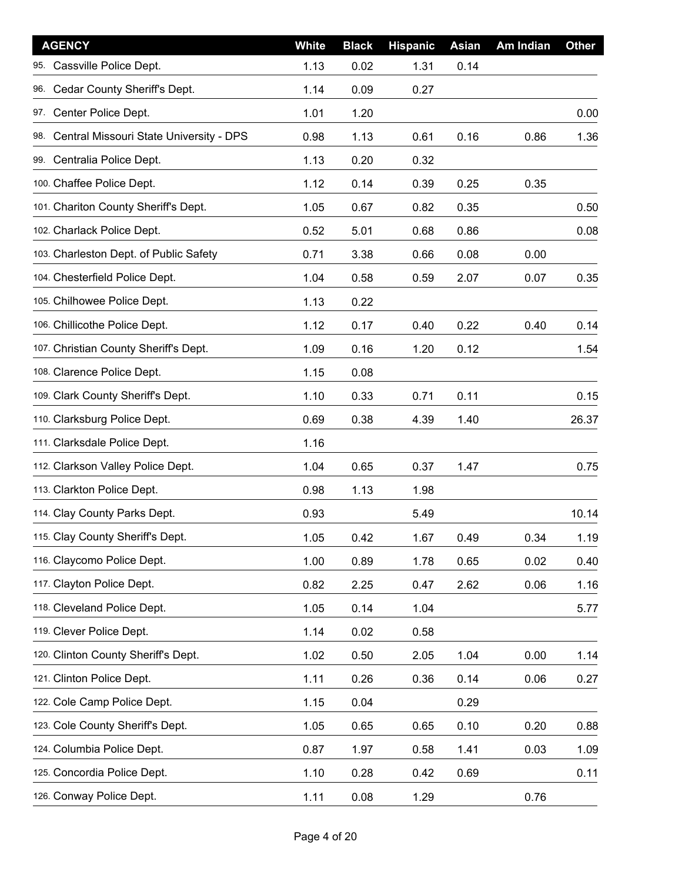| <b>AGENCY</b>                               | White | <b>Black</b> | <b>Hispanic</b> | Asian | Am Indian | <b>Other</b> |
|---------------------------------------------|-------|--------------|-----------------|-------|-----------|--------------|
| Cassville Police Dept.<br>95.               | 1.13  | 0.02         | 1.31            | 0.14  |           |              |
| 96. Cedar County Sheriff's Dept.            | 1.14  | 0.09         | 0.27            |       |           |              |
| 97. Center Police Dept.                     | 1.01  | 1.20         |                 |       |           | 0.00         |
| 98. Central Missouri State University - DPS | 0.98  | 1.13         | 0.61            | 0.16  | 0.86      | 1.36         |
| 99. Centralia Police Dept.                  | 1.13  | 0.20         | 0.32            |       |           |              |
| 100. Chaffee Police Dept.                   | 1.12  | 0.14         | 0.39            | 0.25  | 0.35      |              |
| 101. Chariton County Sheriff's Dept.        | 1.05  | 0.67         | 0.82            | 0.35  |           | 0.50         |
| 102. Charlack Police Dept.                  | 0.52  | 5.01         | 0.68            | 0.86  |           | 0.08         |
| 103. Charleston Dept. of Public Safety      | 0.71  | 3.38         | 0.66            | 0.08  | 0.00      |              |
| 104. Chesterfield Police Dept.              | 1.04  | 0.58         | 0.59            | 2.07  | 0.07      | 0.35         |
| 105. Chilhowee Police Dept.                 | 1.13  | 0.22         |                 |       |           |              |
| 106. Chillicothe Police Dept.               | 1.12  | 0.17         | 0.40            | 0.22  | 0.40      | 0.14         |
| 107. Christian County Sheriff's Dept.       | 1.09  | 0.16         | 1.20            | 0.12  |           | 1.54         |
| 108. Clarence Police Dept.                  | 1.15  | 0.08         |                 |       |           |              |
| 109. Clark County Sheriff's Dept.           | 1.10  | 0.33         | 0.71            | 0.11  |           | 0.15         |
| 110. Clarksburg Police Dept.                | 0.69  | 0.38         | 4.39            | 1.40  |           | 26.37        |
| 111. Clarksdale Police Dept.                | 1.16  |              |                 |       |           |              |
| 112. Clarkson Valley Police Dept.           | 1.04  | 0.65         | 0.37            | 1.47  |           | 0.75         |
| 113. Clarkton Police Dept.                  | 0.98  | 1.13         | 1.98            |       |           |              |
| 114. Clay County Parks Dept.                | 0.93  |              | 5.49            |       |           | 10.14        |
| 115. Clay County Sheriff's Dept.            | 1.05  | 0.42         | 1.67            | 0.49  | 0.34      | 1.19         |
| 116. Claycomo Police Dept.                  | 1.00  | 0.89         | 1.78            | 0.65  | 0.02      | 0.40         |
| 117. Clayton Police Dept.                   | 0.82  | 2.25         | 0.47            | 2.62  | 0.06      | 1.16         |
| 118. Cleveland Police Dept.                 | 1.05  | 0.14         | 1.04            |       |           | 5.77         |
| 119. Clever Police Dept.                    | 1.14  | 0.02         | 0.58            |       |           |              |
| 120. Clinton County Sheriff's Dept.         | 1.02  | 0.50         | 2.05            | 1.04  | 0.00      | 1.14         |
| 121. Clinton Police Dept.                   | 1.11  | 0.26         | 0.36            | 0.14  | 0.06      | 0.27         |
| 122. Cole Camp Police Dept.                 | 1.15  | 0.04         |                 | 0.29  |           |              |
| 123. Cole County Sheriff's Dept.            | 1.05  | 0.65         | 0.65            | 0.10  | 0.20      | 0.88         |
| 124. Columbia Police Dept.                  | 0.87  | 1.97         | 0.58            | 1.41  | 0.03      | 1.09         |
| 125. Concordia Police Dept.                 | 1.10  | 0.28         | 0.42            | 0.69  |           | 0.11         |
| 126. Conway Police Dept.                    | 1.11  | 0.08         | 1.29            |       | 0.76      |              |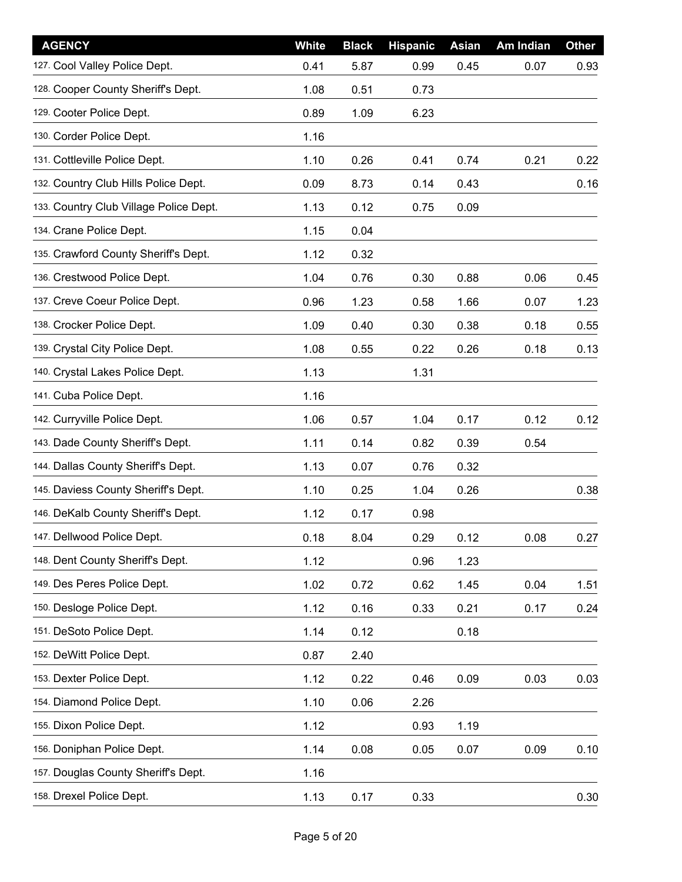| <b>AGENCY</b>                          | <b>White</b> | <b>Black</b> | <b>Hispanic</b> | Asian | Am Indian | <b>Other</b> |
|----------------------------------------|--------------|--------------|-----------------|-------|-----------|--------------|
| 127. Cool Valley Police Dept.          | 0.41         | 5.87         | 0.99            | 0.45  | 0.07      | 0.93         |
| 128. Cooper County Sheriff's Dept.     | 1.08         | 0.51         | 0.73            |       |           |              |
| 129. Cooter Police Dept.               | 0.89         | 1.09         | 6.23            |       |           |              |
| 130. Corder Police Dept.               | 1.16         |              |                 |       |           |              |
| 131. Cottleville Police Dept.          | 1.10         | 0.26         | 0.41            | 0.74  | 0.21      | 0.22         |
| 132. Country Club Hills Police Dept.   | 0.09         | 8.73         | 0.14            | 0.43  |           | 0.16         |
| 133. Country Club Village Police Dept. | 1.13         | 0.12         | 0.75            | 0.09  |           |              |
| 134. Crane Police Dept.                | 1.15         | 0.04         |                 |       |           |              |
| 135. Crawford County Sheriff's Dept.   | 1.12         | 0.32         |                 |       |           |              |
| 136. Crestwood Police Dept.            | 1.04         | 0.76         | 0.30            | 0.88  | 0.06      | 0.45         |
| 137. Creve Coeur Police Dept.          | 0.96         | 1.23         | 0.58            | 1.66  | 0.07      | 1.23         |
| 138. Crocker Police Dept.              | 1.09         | 0.40         | 0.30            | 0.38  | 0.18      | 0.55         |
| 139. Crystal City Police Dept.         | 1.08         | 0.55         | 0.22            | 0.26  | 0.18      | 0.13         |
| 140. Crystal Lakes Police Dept.        | 1.13         |              | 1.31            |       |           |              |
| 141. Cuba Police Dept.                 | 1.16         |              |                 |       |           |              |
| 142. Curryville Police Dept.           | 1.06         | 0.57         | 1.04            | 0.17  | 0.12      | 0.12         |
| 143. Dade County Sheriff's Dept.       | 1.11         | 0.14         | 0.82            | 0.39  | 0.54      |              |
| 144. Dallas County Sheriff's Dept.     | 1.13         | 0.07         | 0.76            | 0.32  |           |              |
| 145. Daviess County Sheriff's Dept.    | 1.10         | 0.25         | 1.04            | 0.26  |           | 0.38         |
| 146. DeKalb County Sheriff's Dept.     | 1.12         | 0.17         | 0.98            |       |           |              |
| 147. Dellwood Police Dept.             | 0.18         | 8.04         | 0.29            | 0.12  | 0.08      | 0.27         |
| 148. Dent County Sheriff's Dept.       | 1.12         |              | 0.96            | 1.23  |           |              |
| 149. Des Peres Police Dept.            | 1.02         | 0.72         | 0.62            | 1.45  | 0.04      | 1.51         |
| 150. Desloge Police Dept.              | 1.12         | 0.16         | 0.33            | 0.21  | 0.17      | 0.24         |
| 151. DeSoto Police Dept.               | 1.14         | 0.12         |                 | 0.18  |           |              |
| 152. DeWitt Police Dept.               | 0.87         | 2.40         |                 |       |           |              |
| 153. Dexter Police Dept.               | 1.12         | 0.22         | 0.46            | 0.09  | 0.03      | 0.03         |
| 154. Diamond Police Dept.              | 1.10         | 0.06         | 2.26            |       |           |              |
| 155. Dixon Police Dept.                | 1.12         |              | 0.93            | 1.19  |           |              |
| 156. Doniphan Police Dept.             | 1.14         | 0.08         | 0.05            | 0.07  | 0.09      | 0.10         |
| 157. Douglas County Sheriff's Dept.    | 1.16         |              |                 |       |           |              |
| 158. Drexel Police Dept.               | 1.13         | 0.17         | 0.33            |       |           | 0.30         |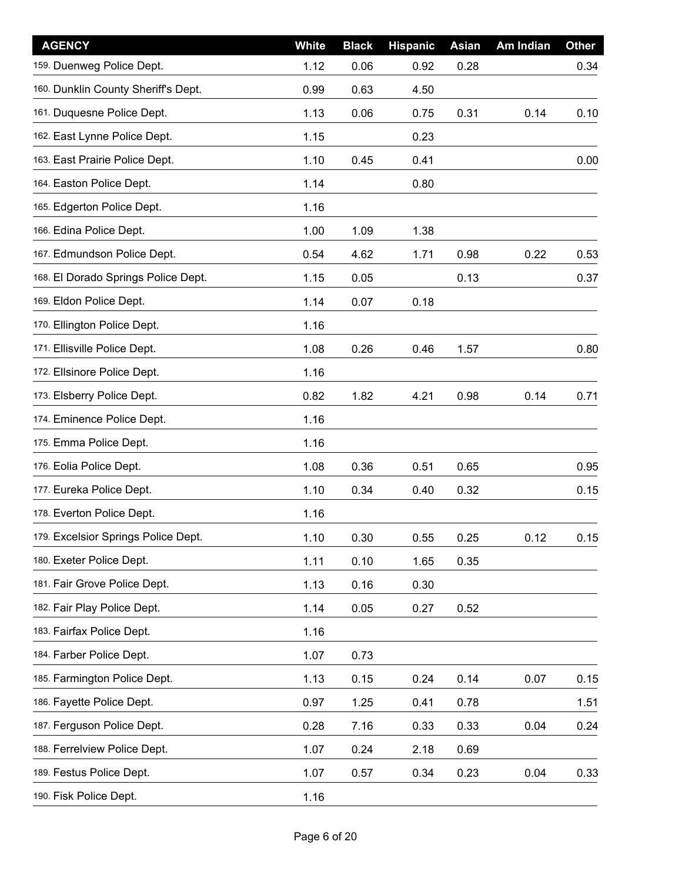| <b>AGENCY</b>                       | <b>White</b> | <b>Black</b> | <b>Hispanic</b> | Asian | Am Indian | <b>Other</b> |
|-------------------------------------|--------------|--------------|-----------------|-------|-----------|--------------|
| 159. Duenweg Police Dept.           | 1.12         | 0.06         | 0.92            | 0.28  |           | 0.34         |
| 160. Dunklin County Sheriff's Dept. | 0.99         | 0.63         | 4.50            |       |           |              |
| 161. Duquesne Police Dept.          | 1.13         | 0.06         | 0.75            | 0.31  | 0.14      | 0.10         |
| 162. East Lynne Police Dept.        | 1.15         |              | 0.23            |       |           |              |
| 163. East Prairie Police Dept.      | 1.10         | 0.45         | 0.41            |       |           | 0.00         |
| 164. Easton Police Dept.            | 1.14         |              | 0.80            |       |           |              |
| 165. Edgerton Police Dept.          | 1.16         |              |                 |       |           |              |
| 166. Edina Police Dept.             | 1.00         | 1.09         | 1.38            |       |           |              |
| 167. Edmundson Police Dept.         | 0.54         | 4.62         | 1.71            | 0.98  | 0.22      | 0.53         |
| 168. El Dorado Springs Police Dept. | 1.15         | 0.05         |                 | 0.13  |           | 0.37         |
| 169. Eldon Police Dept.             | 1.14         | 0.07         | 0.18            |       |           |              |
| 170. Ellington Police Dept.         | 1.16         |              |                 |       |           |              |
| 171. Ellisville Police Dept.        | 1.08         | 0.26         | 0.46            | 1.57  |           | 0.80         |
| 172. Ellsinore Police Dept.         | 1.16         |              |                 |       |           |              |
| 173. Elsberry Police Dept.          | 0.82         | 1.82         | 4.21            | 0.98  | 0.14      | 0.71         |
| 174. Eminence Police Dept.          | 1.16         |              |                 |       |           |              |
| 175. Emma Police Dept.              | 1.16         |              |                 |       |           |              |
| 176. Eolia Police Dept.             | 1.08         | 0.36         | 0.51            | 0.65  |           | 0.95         |
| 177. Eureka Police Dept.            | 1.10         | 0.34         | 0.40            | 0.32  |           | 0.15         |
| 178. Everton Police Dept.           | 1.16         |              |                 |       |           |              |
| 179. Excelsior Springs Police Dept. | 1.10         | 0.30         | 0.55            | 0.25  | 0.12      | 0.15         |
| 180. Exeter Police Dept.            | 1.11         | 0.10         | 1.65            | 0.35  |           |              |
| 181. Fair Grove Police Dept.        | 1.13         | 0.16         | 0.30            |       |           |              |
| 182. Fair Play Police Dept.         | 1.14         | 0.05         | 0.27            | 0.52  |           |              |
| 183. Fairfax Police Dept.           | 1.16         |              |                 |       |           |              |
| 184. Farber Police Dept.            | 1.07         | 0.73         |                 |       |           |              |
| 185. Farmington Police Dept.        | 1.13         | 0.15         | 0.24            | 0.14  | 0.07      | 0.15         |
| 186. Fayette Police Dept.           | 0.97         | 1.25         | 0.41            | 0.78  |           | 1.51         |
| 187. Ferguson Police Dept.          | 0.28         | 7.16         | 0.33            | 0.33  | 0.04      | 0.24         |
| 188. Ferrelview Police Dept.        | 1.07         | 0.24         | 2.18            | 0.69  |           |              |
| 189. Festus Police Dept.            | 1.07         | 0.57         | 0.34            | 0.23  | 0.04      | 0.33         |
| 190. Fisk Police Dept.              | 1.16         |              |                 |       |           |              |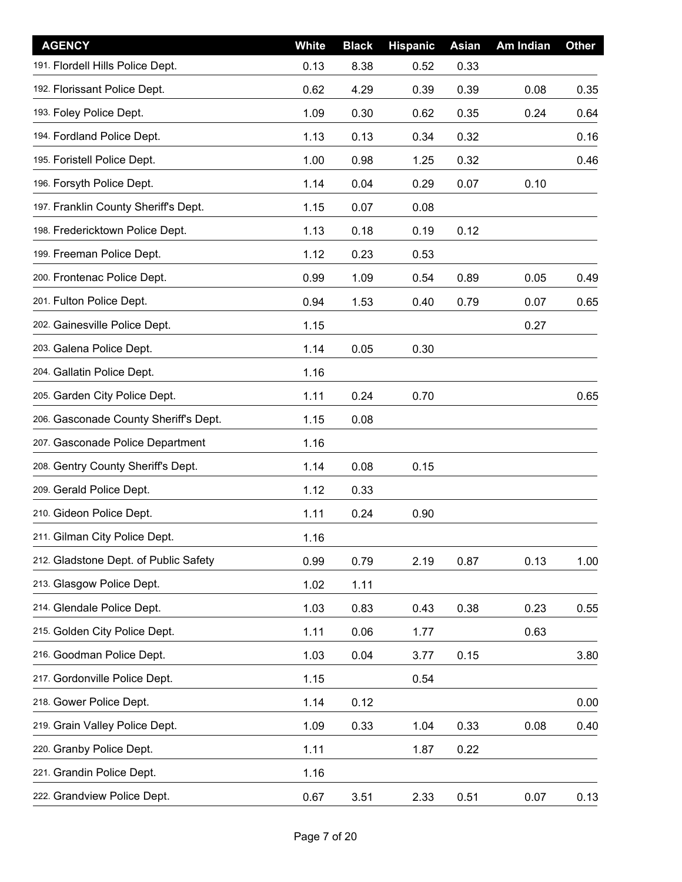| <b>AGENCY</b>                         | White | <b>Black</b> | <b>Hispanic</b> | Asian | Am Indian | <b>Other</b> |
|---------------------------------------|-------|--------------|-----------------|-------|-----------|--------------|
| 191. Flordell Hills Police Dept.      | 0.13  | 8.38         | 0.52            | 0.33  |           |              |
| 192. Florissant Police Dept.          | 0.62  | 4.29         | 0.39            | 0.39  | 0.08      | 0.35         |
| 193. Foley Police Dept.               | 1.09  | 0.30         | 0.62            | 0.35  | 0.24      | 0.64         |
| 194. Fordland Police Dept.            | 1.13  | 0.13         | 0.34            | 0.32  |           | 0.16         |
| 195. Foristell Police Dept.           | 1.00  | 0.98         | 1.25            | 0.32  |           | 0.46         |
| 196. Forsyth Police Dept.             | 1.14  | 0.04         | 0.29            | 0.07  | 0.10      |              |
| 197. Franklin County Sheriff's Dept.  | 1.15  | 0.07         | 0.08            |       |           |              |
| 198. Fredericktown Police Dept.       | 1.13  | 0.18         | 0.19            | 0.12  |           |              |
| 199. Freeman Police Dept.             | 1.12  | 0.23         | 0.53            |       |           |              |
| 200. Frontenac Police Dept.           | 0.99  | 1.09         | 0.54            | 0.89  | 0.05      | 0.49         |
| 201. Fulton Police Dept.              | 0.94  | 1.53         | 0.40            | 0.79  | 0.07      | 0.65         |
| 202. Gainesville Police Dept.         | 1.15  |              |                 |       | 0.27      |              |
| 203. Galena Police Dept.              | 1.14  | 0.05         | 0.30            |       |           |              |
| 204. Gallatin Police Dept.            | 1.16  |              |                 |       |           |              |
| 205. Garden City Police Dept.         | 1.11  | 0.24         | 0.70            |       |           | 0.65         |
| 206. Gasconade County Sheriff's Dept. | 1.15  | 0.08         |                 |       |           |              |
| 207. Gasconade Police Department      | 1.16  |              |                 |       |           |              |
| 208. Gentry County Sheriff's Dept.    | 1.14  | 0.08         | 0.15            |       |           |              |
| 209. Gerald Police Dept.              | 1.12  | 0.33         |                 |       |           |              |
| 210. Gideon Police Dept.              | 1.11  | 0.24         | 0.90            |       |           |              |
| 211. Gilman City Police Dept.         | 1.16  |              |                 |       |           |              |
| 212. Gladstone Dept. of Public Safety | 0.99  | 0.79         | 2.19            | 0.87  | 0.13      | 1.00         |
| 213. Glasgow Police Dept.             | 1.02  | 1.11         |                 |       |           |              |
| 214. Glendale Police Dept.            | 1.03  | 0.83         | 0.43            | 0.38  | 0.23      | 0.55         |
| 215. Golden City Police Dept.         | 1.11  | 0.06         | 1.77            |       | 0.63      |              |
| 216. Goodman Police Dept.             | 1.03  | 0.04         | 3.77            | 0.15  |           | 3.80         |
| 217. Gordonville Police Dept.         | 1.15  |              | 0.54            |       |           |              |
| 218. Gower Police Dept.               | 1.14  | 0.12         |                 |       |           | 0.00         |
| 219. Grain Valley Police Dept.        | 1.09  | 0.33         | 1.04            | 0.33  | 0.08      | 0.40         |
| 220. Granby Police Dept.              | 1.11  |              | 1.87            | 0.22  |           |              |
| 221. Grandin Police Dept.             | 1.16  |              |                 |       |           |              |
| 222. Grandview Police Dept.           | 0.67  | 3.51         | 2.33            | 0.51  | 0.07      | 0.13         |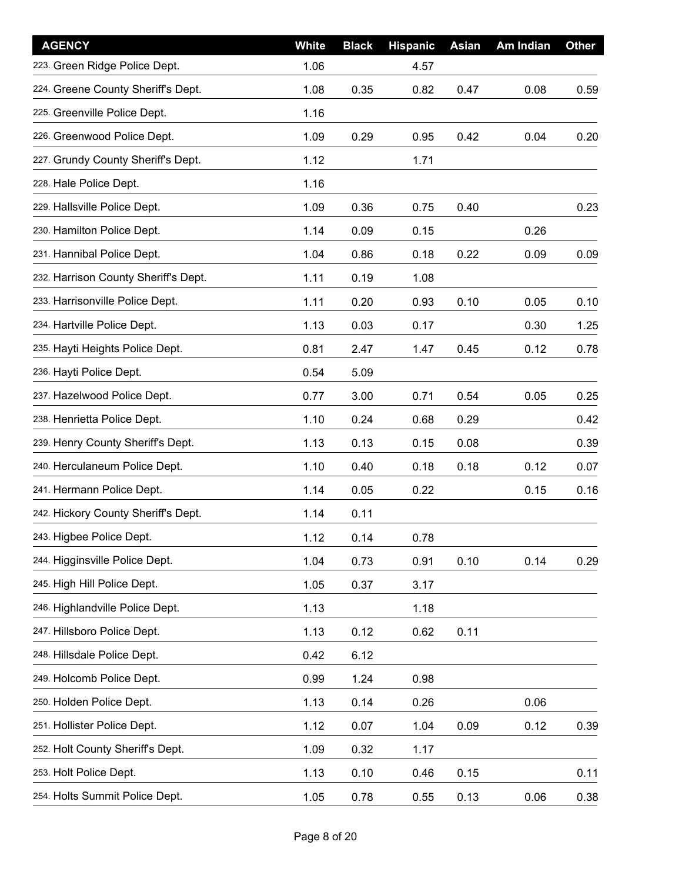| <b>AGENCY</b>                        | White | <b>Black</b> | <b>Hispanic</b> | Asian | Am Indian | <b>Other</b> |
|--------------------------------------|-------|--------------|-----------------|-------|-----------|--------------|
| 223. Green Ridge Police Dept.        | 1.06  |              | 4.57            |       |           |              |
| 224. Greene County Sheriff's Dept.   | 1.08  | 0.35         | 0.82            | 0.47  | 0.08      | 0.59         |
| 225. Greenville Police Dept.         | 1.16  |              |                 |       |           |              |
| 226. Greenwood Police Dept.          | 1.09  | 0.29         | 0.95            | 0.42  | 0.04      | 0.20         |
| 227. Grundy County Sheriff's Dept.   | 1.12  |              | 1.71            |       |           |              |
| 228. Hale Police Dept.               | 1.16  |              |                 |       |           |              |
| 229. Hallsville Police Dept.         | 1.09  | 0.36         | 0.75            | 0.40  |           | 0.23         |
| 230. Hamilton Police Dept.           | 1.14  | 0.09         | 0.15            |       | 0.26      |              |
| 231. Hannibal Police Dept.           | 1.04  | 0.86         | 0.18            | 0.22  | 0.09      | 0.09         |
| 232. Harrison County Sheriff's Dept. | 1.11  | 0.19         | 1.08            |       |           |              |
| 233. Harrisonville Police Dept.      | 1.11  | 0.20         | 0.93            | 0.10  | 0.05      | 0.10         |
| 234. Hartville Police Dept.          | 1.13  | 0.03         | 0.17            |       | 0.30      | 1.25         |
| 235. Hayti Heights Police Dept.      | 0.81  | 2.47         | 1.47            | 0.45  | 0.12      | 0.78         |
| 236. Hayti Police Dept.              | 0.54  | 5.09         |                 |       |           |              |
| 237. Hazelwood Police Dept.          | 0.77  | 3.00         | 0.71            | 0.54  | 0.05      | 0.25         |
| 238. Henrietta Police Dept.          | 1.10  | 0.24         | 0.68            | 0.29  |           | 0.42         |
| 239. Henry County Sheriff's Dept.    | 1.13  | 0.13         | 0.15            | 0.08  |           | 0.39         |
| 240. Herculaneum Police Dept.        | 1.10  | 0.40         | 0.18            | 0.18  | 0.12      | 0.07         |
| 241. Hermann Police Dept.            | 1.14  | 0.05         | 0.22            |       | 0.15      | 0.16         |
| 242. Hickory County Sheriff's Dept.  | 1.14  | 0.11         |                 |       |           |              |
| 243. Higbee Police Dept.             | 1.12  | 0.14         | 0.78            |       |           |              |
| 244. Higginsville Police Dept.       | 1.04  | 0.73         | 0.91            | 0.10  | 0.14      | 0.29         |
| 245. High Hill Police Dept.          | 1.05  | 0.37         | 3.17            |       |           |              |
| 246. Highlandville Police Dept.      | 1.13  |              | 1.18            |       |           |              |
| 247. Hillsboro Police Dept.          | 1.13  | 0.12         | 0.62            | 0.11  |           |              |
| 248. Hillsdale Police Dept.          | 0.42  | 6.12         |                 |       |           |              |
| 249. Holcomb Police Dept.            | 0.99  | 1.24         | 0.98            |       |           |              |
| 250. Holden Police Dept.             | 1.13  | 0.14         | 0.26            |       | 0.06      |              |
| 251. Hollister Police Dept.          | 1.12  | 0.07         | 1.04            | 0.09  | 0.12      | 0.39         |
| 252. Holt County Sheriff's Dept.     | 1.09  | 0.32         | 1.17            |       |           |              |
| 253. Holt Police Dept.               | 1.13  | 0.10         | 0.46            | 0.15  |           | 0.11         |
| 254. Holts Summit Police Dept.       | 1.05  | 0.78         | 0.55            | 0.13  | 0.06      | 0.38         |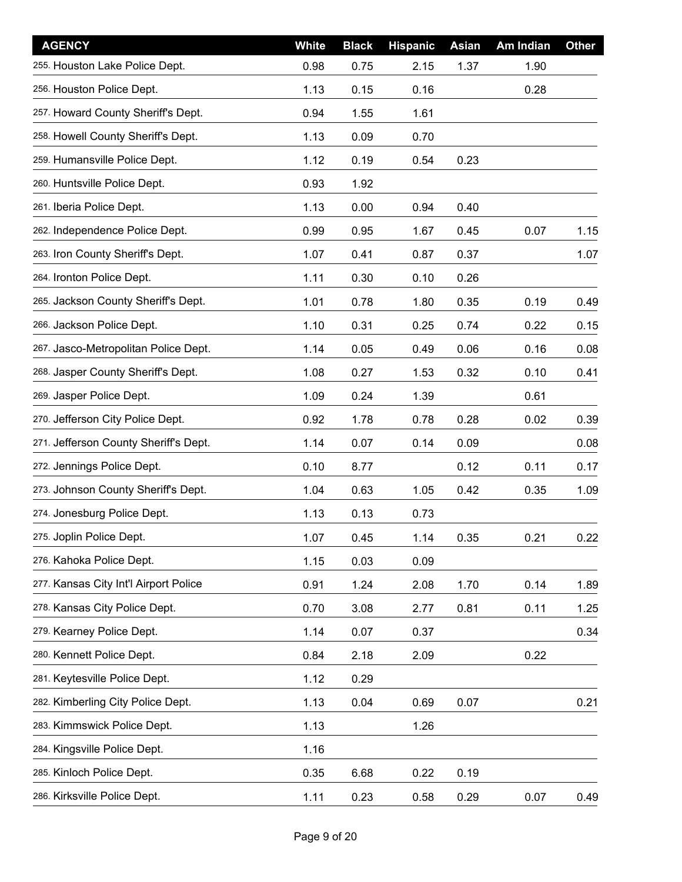| <b>AGENCY</b>                         | White | <b>Black</b> | <b>Hispanic</b> | Asian | Am Indian | <b>Other</b> |
|---------------------------------------|-------|--------------|-----------------|-------|-----------|--------------|
| 255. Houston Lake Police Dept.        | 0.98  | 0.75         | 2.15            | 1.37  | 1.90      |              |
| 256. Houston Police Dept.             | 1.13  | 0.15         | 0.16            |       | 0.28      |              |
| 257. Howard County Sheriff's Dept.    | 0.94  | 1.55         | 1.61            |       |           |              |
| 258. Howell County Sheriff's Dept.    | 1.13  | 0.09         | 0.70            |       |           |              |
| 259. Humansville Police Dept.         | 1.12  | 0.19         | 0.54            | 0.23  |           |              |
| 260. Huntsville Police Dept.          | 0.93  | 1.92         |                 |       |           |              |
| 261. Iberia Police Dept.              | 1.13  | 0.00         | 0.94            | 0.40  |           |              |
| 262. Independence Police Dept.        | 0.99  | 0.95         | 1.67            | 0.45  | 0.07      | 1.15         |
| 263. Iron County Sheriff's Dept.      | 1.07  | 0.41         | 0.87            | 0.37  |           | 1.07         |
| 264. Ironton Police Dept.             | 1.11  | 0.30         | 0.10            | 0.26  |           |              |
| 265. Jackson County Sheriff's Dept.   | 1.01  | 0.78         | 1.80            | 0.35  | 0.19      | 0.49         |
| 266. Jackson Police Dept.             | 1.10  | 0.31         | 0.25            | 0.74  | 0.22      | 0.15         |
| 267. Jasco-Metropolitan Police Dept.  | 1.14  | 0.05         | 0.49            | 0.06  | 0.16      | 0.08         |
| 268. Jasper County Sheriff's Dept.    | 1.08  | 0.27         | 1.53            | 0.32  | 0.10      | 0.41         |
| 269. Jasper Police Dept.              | 1.09  | 0.24         | 1.39            |       | 0.61      |              |
| 270. Jefferson City Police Dept.      | 0.92  | 1.78         | 0.78            | 0.28  | 0.02      | 0.39         |
| 271. Jefferson County Sheriff's Dept. | 1.14  | 0.07         | 0.14            | 0.09  |           | 0.08         |
| 272. Jennings Police Dept.            | 0.10  | 8.77         |                 | 0.12  | 0.11      | 0.17         |
| 273. Johnson County Sheriff's Dept.   | 1.04  | 0.63         | 1.05            | 0.42  | 0.35      | 1.09         |
| 274. Jonesburg Police Dept.           | 1.13  | 0.13         | 0.73            |       |           |              |
| 275. Joplin Police Dept.              | 1.07  | 0.45         | 1.14            | 0.35  | 0.21      | 0.22         |
| 276. Kahoka Police Dept.              | 1.15  | 0.03         | 0.09            |       |           |              |
| 277. Kansas City Int'l Airport Police | 0.91  | 1.24         | 2.08            | 1.70  | 0.14      | 1.89         |
| 278. Kansas City Police Dept.         | 0.70  | 3.08         | 2.77            | 0.81  | 0.11      | 1.25         |
| 279. Kearney Police Dept.             | 1.14  | 0.07         | 0.37            |       |           | 0.34         |
| 280. Kennett Police Dept.             | 0.84  | 2.18         | 2.09            |       | 0.22      |              |
| 281. Keytesville Police Dept.         | 1.12  | 0.29         |                 |       |           |              |
| 282. Kimberling City Police Dept.     | 1.13  | 0.04         | 0.69            | 0.07  |           | 0.21         |
| 283. Kimmswick Police Dept.           | 1.13  |              | 1.26            |       |           |              |
| 284. Kingsville Police Dept.          | 1.16  |              |                 |       |           |              |
| 285. Kinloch Police Dept.             | 0.35  | 6.68         | 0.22            | 0.19  |           |              |
| 286. Kirksville Police Dept.          | 1.11  | 0.23         | 0.58            | 0.29  | 0.07      | 0.49         |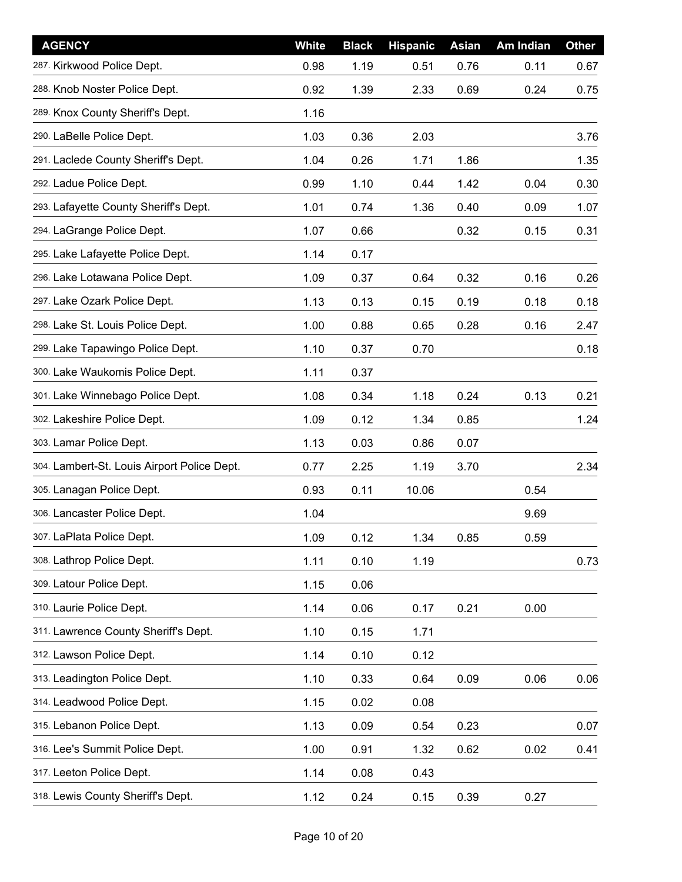| <b>AGENCY</b>                               | <b>White</b> | <b>Black</b> | <b>Hispanic</b> | Asian | Am Indian | <b>Other</b> |
|---------------------------------------------|--------------|--------------|-----------------|-------|-----------|--------------|
| 287. Kirkwood Police Dept.                  | 0.98         | 1.19         | 0.51            | 0.76  | 0.11      | 0.67         |
| 288. Knob Noster Police Dept.               | 0.92         | 1.39         | 2.33            | 0.69  | 0.24      | 0.75         |
| 289. Knox County Sheriff's Dept.            | 1.16         |              |                 |       |           |              |
| 290. LaBelle Police Dept.                   | 1.03         | 0.36         | 2.03            |       |           | 3.76         |
| 291. Laclede County Sheriff's Dept.         | 1.04         | 0.26         | 1.71            | 1.86  |           | 1.35         |
| 292. Ladue Police Dept.                     | 0.99         | 1.10         | 0.44            | 1.42  | 0.04      | 0.30         |
| 293. Lafayette County Sheriff's Dept.       | 1.01         | 0.74         | 1.36            | 0.40  | 0.09      | 1.07         |
| 294. LaGrange Police Dept.                  | 1.07         | 0.66         |                 | 0.32  | 0.15      | 0.31         |
| 295. Lake Lafayette Police Dept.            | 1.14         | 0.17         |                 |       |           |              |
| 296. Lake Lotawana Police Dept.             | 1.09         | 0.37         | 0.64            | 0.32  | 0.16      | 0.26         |
| 297. Lake Ozark Police Dept.                | 1.13         | 0.13         | 0.15            | 0.19  | 0.18      | 0.18         |
| 298. Lake St. Louis Police Dept.            | 1.00         | 0.88         | 0.65            | 0.28  | 0.16      | 2.47         |
| 299. Lake Tapawingo Police Dept.            | 1.10         | 0.37         | 0.70            |       |           | 0.18         |
| 300. Lake Waukomis Police Dept.             | 1.11         | 0.37         |                 |       |           |              |
| 301. Lake Winnebago Police Dept.            | 1.08         | 0.34         | 1.18            | 0.24  | 0.13      | 0.21         |
| 302. Lakeshire Police Dept.                 | 1.09         | 0.12         | 1.34            | 0.85  |           | 1.24         |
| 303. Lamar Police Dept.                     | 1.13         | 0.03         | 0.86            | 0.07  |           |              |
| 304. Lambert-St. Louis Airport Police Dept. | 0.77         | 2.25         | 1.19            | 3.70  |           | 2.34         |
| 305. Lanagan Police Dept.                   | 0.93         | 0.11         | 10.06           |       | 0.54      |              |
| 306. Lancaster Police Dept.                 | 1.04         |              |                 |       | 9.69      |              |
| 307. LaPlata Police Dept.                   | 1.09         | 0.12         | 1.34            | 0.85  | 0.59      |              |
| 308. Lathrop Police Dept.                   | 1.11         | 0.10         | 1.19            |       |           | 0.73         |
| 309. Latour Police Dept.                    | 1.15         | 0.06         |                 |       |           |              |
| 310. Laurie Police Dept.                    | 1.14         | 0.06         | 0.17            | 0.21  | 0.00      |              |
| 311. Lawrence County Sheriff's Dept.        | 1.10         | 0.15         | 1.71            |       |           |              |
| 312. Lawson Police Dept.                    | 1.14         | 0.10         | 0.12            |       |           |              |
| 313. Leadington Police Dept.                | 1.10         | 0.33         | 0.64            | 0.09  | 0.06      | 0.06         |
| 314. Leadwood Police Dept.                  | 1.15         | 0.02         | 0.08            |       |           |              |
| 315. Lebanon Police Dept.                   | 1.13         | 0.09         | 0.54            | 0.23  |           | 0.07         |
| 316. Lee's Summit Police Dept.              | 1.00         | 0.91         | 1.32            | 0.62  | 0.02      | 0.41         |
| 317. Leeton Police Dept.                    | 1.14         | 0.08         | 0.43            |       |           |              |
| 318. Lewis County Sheriff's Dept.           | 1.12         | 0.24         | 0.15            | 0.39  | 0.27      |              |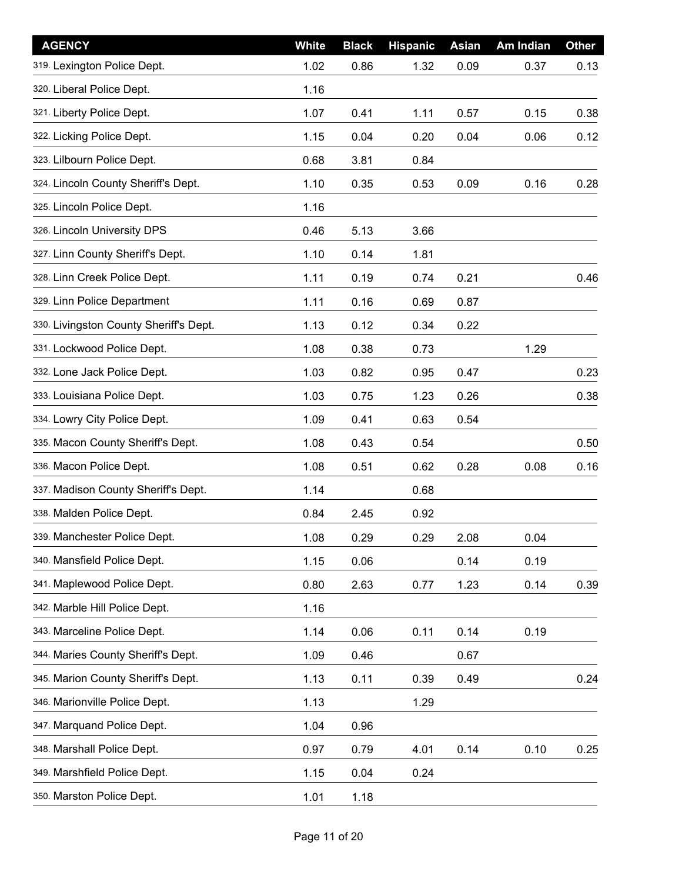| <b>AGENCY</b>                          | White | <b>Black</b> | <b>Hispanic</b> | Asian | Am Indian | <b>Other</b> |
|----------------------------------------|-------|--------------|-----------------|-------|-----------|--------------|
| 319. Lexington Police Dept.            | 1.02  | 0.86         | 1.32            | 0.09  | 0.37      | 0.13         |
| 320. Liberal Police Dept.              | 1.16  |              |                 |       |           |              |
| 321. Liberty Police Dept.              | 1.07  | 0.41         | 1.11            | 0.57  | 0.15      | 0.38         |
| 322. Licking Police Dept.              | 1.15  | 0.04         | 0.20            | 0.04  | 0.06      | 0.12         |
| 323. Lilbourn Police Dept.             | 0.68  | 3.81         | 0.84            |       |           |              |
| 324. Lincoln County Sheriff's Dept.    | 1.10  | 0.35         | 0.53            | 0.09  | 0.16      | 0.28         |
| 325. Lincoln Police Dept.              | 1.16  |              |                 |       |           |              |
| 326. Lincoln University DPS            | 0.46  | 5.13         | 3.66            |       |           |              |
| 327. Linn County Sheriff's Dept.       | 1.10  | 0.14         | 1.81            |       |           |              |
| 328. Linn Creek Police Dept.           | 1.11  | 0.19         | 0.74            | 0.21  |           | 0.46         |
| 329. Linn Police Department            | 1.11  | 0.16         | 0.69            | 0.87  |           |              |
| 330. Livingston County Sheriff's Dept. | 1.13  | 0.12         | 0.34            | 0.22  |           |              |
| 331. Lockwood Police Dept.             | 1.08  | 0.38         | 0.73            |       | 1.29      |              |
| 332. Lone Jack Police Dept.            | 1.03  | 0.82         | 0.95            | 0.47  |           | 0.23         |
| 333. Louisiana Police Dept.            | 1.03  | 0.75         | 1.23            | 0.26  |           | 0.38         |
| 334. Lowry City Police Dept.           | 1.09  | 0.41         | 0.63            | 0.54  |           |              |
| 335. Macon County Sheriff's Dept.      | 1.08  | 0.43         | 0.54            |       |           | 0.50         |
| 336. Macon Police Dept.                | 1.08  | 0.51         | 0.62            | 0.28  | 0.08      | 0.16         |
| 337. Madison County Sheriff's Dept.    | 1.14  |              | 0.68            |       |           |              |
| 338. Malden Police Dept.               | 0.84  | 2.45         | 0.92            |       |           |              |
| 339. Manchester Police Dept.           | 1.08  | 0.29         | 0.29            | 2.08  | 0.04      |              |
| 340. Mansfield Police Dept.            | 1.15  | 0.06         |                 | 0.14  | 0.19      |              |
| 341. Maplewood Police Dept.            | 0.80  | 2.63         | 0.77            | 1.23  | 0.14      | 0.39         |
| 342. Marble Hill Police Dept.          | 1.16  |              |                 |       |           |              |
| 343. Marceline Police Dept.            | 1.14  | 0.06         | 0.11            | 0.14  | 0.19      |              |
| 344. Maries County Sheriff's Dept.     | 1.09  | 0.46         |                 | 0.67  |           |              |
| 345. Marion County Sheriff's Dept.     | 1.13  | 0.11         | 0.39            | 0.49  |           | 0.24         |
| 346. Marionville Police Dept.          | 1.13  |              | 1.29            |       |           |              |
| 347. Marquand Police Dept.             | 1.04  | 0.96         |                 |       |           |              |
| 348. Marshall Police Dept.             | 0.97  | 0.79         | 4.01            | 0.14  | 0.10      | 0.25         |
| 349. Marshfield Police Dept.           | 1.15  | 0.04         | 0.24            |       |           |              |
| 350. Marston Police Dept.              | 1.01  | 1.18         |                 |       |           |              |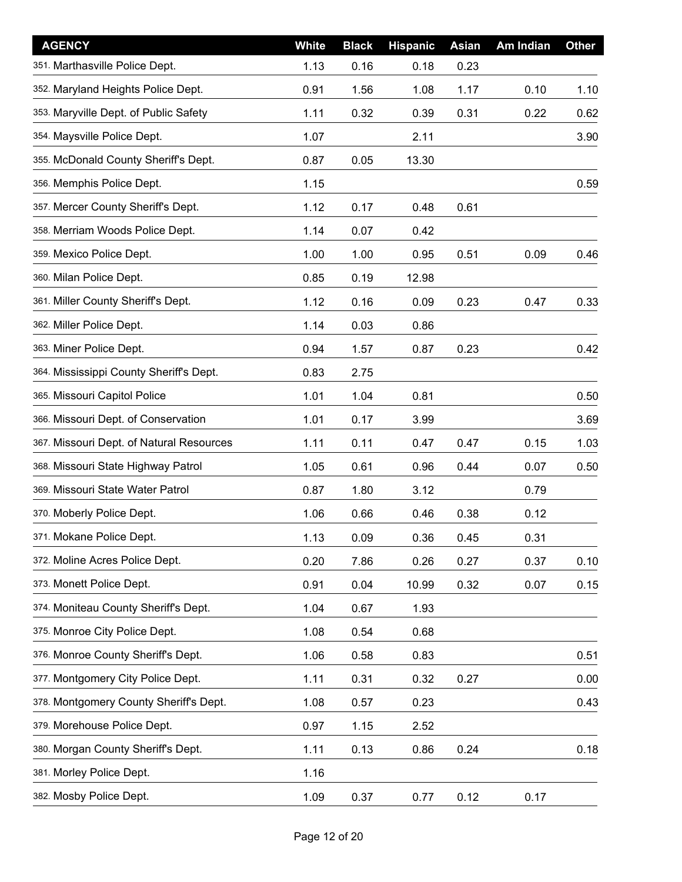| <b>AGENCY</b>                            | <b>White</b> | <b>Black</b> | <b>Hispanic</b> | <b>Asian</b> | Am Indian | <b>Other</b> |
|------------------------------------------|--------------|--------------|-----------------|--------------|-----------|--------------|
| 351. Marthasville Police Dept.           | 1.13         | 0.16         | 0.18            | 0.23         |           |              |
| 352. Maryland Heights Police Dept.       | 0.91         | 1.56         | 1.08            | 1.17         | 0.10      | 1.10         |
| 353. Maryville Dept. of Public Safety    | 1.11         | 0.32         | 0.39            | 0.31         | 0.22      | 0.62         |
| 354. Maysville Police Dept.              | 1.07         |              | 2.11            |              |           | 3.90         |
| 355. McDonald County Sheriff's Dept.     | 0.87         | 0.05         | 13.30           |              |           |              |
| 356. Memphis Police Dept.                | 1.15         |              |                 |              |           | 0.59         |
| 357. Mercer County Sheriff's Dept.       | 1.12         | 0.17         | 0.48            | 0.61         |           |              |
| 358. Merriam Woods Police Dept.          | 1.14         | 0.07         | 0.42            |              |           |              |
| 359. Mexico Police Dept.                 | 1.00         | 1.00         | 0.95            | 0.51         | 0.09      | 0.46         |
| 360. Milan Police Dept.                  | 0.85         | 0.19         | 12.98           |              |           |              |
| 361. Miller County Sheriff's Dept.       | 1.12         | 0.16         | 0.09            | 0.23         | 0.47      | 0.33         |
| 362. Miller Police Dept.                 | 1.14         | 0.03         | 0.86            |              |           |              |
| 363. Miner Police Dept.                  | 0.94         | 1.57         | 0.87            | 0.23         |           | 0.42         |
| 364. Mississippi County Sheriff's Dept.  | 0.83         | 2.75         |                 |              |           |              |
| 365. Missouri Capitol Police             | 1.01         | 1.04         | 0.81            |              |           | 0.50         |
| 366. Missouri Dept. of Conservation      | 1.01         | 0.17         | 3.99            |              |           | 3.69         |
| 367. Missouri Dept. of Natural Resources | 1.11         | 0.11         | 0.47            | 0.47         | 0.15      | 1.03         |
| 368. Missouri State Highway Patrol       | 1.05         | 0.61         | 0.96            | 0.44         | 0.07      | 0.50         |
| 369. Missouri State Water Patrol         | 0.87         | 1.80         | 3.12            |              | 0.79      |              |
| 370. Moberly Police Dept.                | 1.06         | 0.66         | 0.46            | 0.38         | 0.12      |              |
| 371. Mokane Police Dept.                 | 1.13         | 0.09         | 0.36            | 0.45         | 0.31      |              |
| 372. Moline Acres Police Dept.           | 0.20         | 7.86         | 0.26            | 0.27         | 0.37      | 0.10         |
| 373. Monett Police Dept.                 | 0.91         | 0.04         | 10.99           | 0.32         | 0.07      | 0.15         |
| 374. Moniteau County Sheriff's Dept.     | 1.04         | 0.67         | 1.93            |              |           |              |
| 375. Monroe City Police Dept.            | 1.08         | 0.54         | 0.68            |              |           |              |
| 376. Monroe County Sheriff's Dept.       | 1.06         | 0.58         | 0.83            |              |           | 0.51         |
| 377. Montgomery City Police Dept.        | 1.11         | 0.31         | 0.32            | 0.27         |           | 0.00         |
| 378. Montgomery County Sheriff's Dept.   | 1.08         | 0.57         | 0.23            |              |           | 0.43         |
| 379. Morehouse Police Dept.              | 0.97         | 1.15         | 2.52            |              |           |              |
| 380. Morgan County Sheriff's Dept.       | 1.11         | 0.13         | 0.86            | 0.24         |           | 0.18         |
| 381. Morley Police Dept.                 | 1.16         |              |                 |              |           |              |
| 382. Mosby Police Dept.                  | 1.09         | 0.37         | 0.77            | 0.12         | 0.17      |              |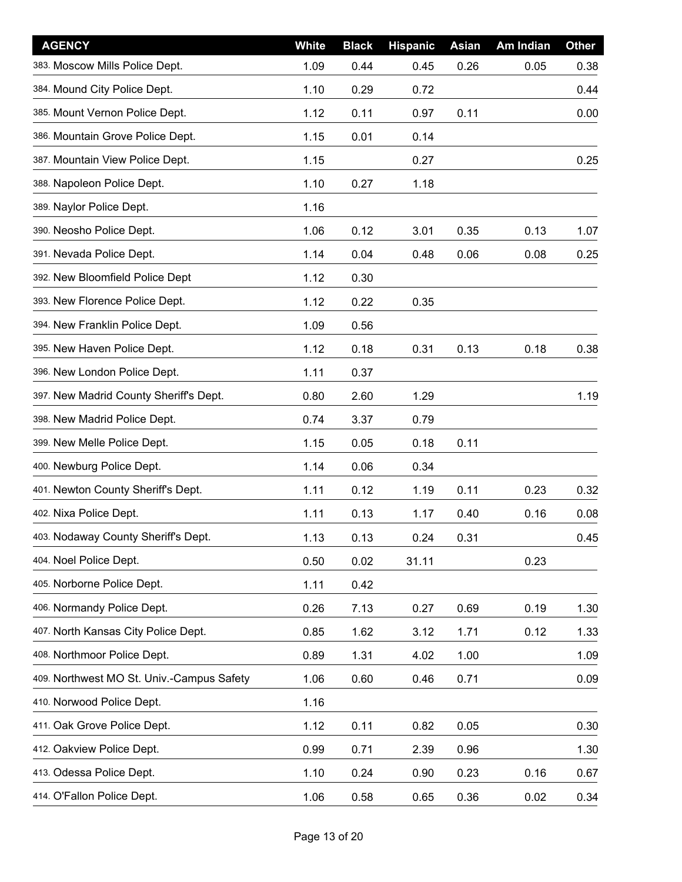| <b>AGENCY</b>                             | <b>White</b> | <b>Black</b> | <b>Hispanic</b> | Asian | Am Indian | <b>Other</b> |
|-------------------------------------------|--------------|--------------|-----------------|-------|-----------|--------------|
| 383. Moscow Mills Police Dept.            | 1.09         | 0.44         | 0.45            | 0.26  | 0.05      | 0.38         |
| 384. Mound City Police Dept.              | 1.10         | 0.29         | 0.72            |       |           | 0.44         |
| 385. Mount Vernon Police Dept.            | 1.12         | 0.11         | 0.97            | 0.11  |           | 0.00         |
| 386. Mountain Grove Police Dept.          | 1.15         | 0.01         | 0.14            |       |           |              |
| 387. Mountain View Police Dept.           | 1.15         |              | 0.27            |       |           | 0.25         |
| 388. Napoleon Police Dept.                | 1.10         | 0.27         | 1.18            |       |           |              |
| 389. Naylor Police Dept.                  | 1.16         |              |                 |       |           |              |
| 390. Neosho Police Dept.                  | 1.06         | 0.12         | 3.01            | 0.35  | 0.13      | 1.07         |
| 391. Nevada Police Dept.                  | 1.14         | 0.04         | 0.48            | 0.06  | 0.08      | 0.25         |
| 392. New Bloomfield Police Dept           | 1.12         | 0.30         |                 |       |           |              |
| 393. New Florence Police Dept.            | 1.12         | 0.22         | 0.35            |       |           |              |
| 394. New Franklin Police Dept.            | 1.09         | 0.56         |                 |       |           |              |
| 395. New Haven Police Dept.               | 1.12         | 0.18         | 0.31            | 0.13  | 0.18      | 0.38         |
| 396. New London Police Dept.              | 1.11         | 0.37         |                 |       |           |              |
| 397. New Madrid County Sheriff's Dept.    | 0.80         | 2.60         | 1.29            |       |           | 1.19         |
| 398. New Madrid Police Dept.              | 0.74         | 3.37         | 0.79            |       |           |              |
| 399. New Melle Police Dept.               | 1.15         | 0.05         | 0.18            | 0.11  |           |              |
| 400. Newburg Police Dept.                 | 1.14         | 0.06         | 0.34            |       |           |              |
| 401. Newton County Sheriff's Dept.        | 1.11         | 0.12         | 1.19            | 0.11  | 0.23      | 0.32         |
| 402. Nixa Police Dept.                    | 1.11         | 0.13         | 1.17            | 0.40  | 0.16      | 0.08         |
| 403. Nodaway County Sheriff's Dept.       | 1.13         | 0.13         | 0.24            | 0.31  |           | 0.45         |
| 404. Noel Police Dept.                    | 0.50         | 0.02         | 31.11           |       | 0.23      |              |
| 405. Norborne Police Dept.                | 1.11         | 0.42         |                 |       |           |              |
| 406. Normandy Police Dept.                | 0.26         | 7.13         | 0.27            | 0.69  | 0.19      | 1.30         |
| 407. North Kansas City Police Dept.       | 0.85         | 1.62         | 3.12            | 1.71  | 0.12      | 1.33         |
| 408. Northmoor Police Dept.               | 0.89         | 1.31         | 4.02            | 1.00  |           | 1.09         |
| 409. Northwest MO St. Univ.-Campus Safety | 1.06         | 0.60         | 0.46            | 0.71  |           | 0.09         |
| 410. Norwood Police Dept.                 | 1.16         |              |                 |       |           |              |
| 411. Oak Grove Police Dept.               | 1.12         | 0.11         | 0.82            | 0.05  |           | 0.30         |
| 412. Oakview Police Dept.                 | 0.99         | 0.71         | 2.39            | 0.96  |           | 1.30         |
| 413. Odessa Police Dept.                  | 1.10         | 0.24         | 0.90            | 0.23  | 0.16      | 0.67         |
| 414. O'Fallon Police Dept.                | 1.06         | 0.58         | 0.65            | 0.36  | 0.02      | 0.34         |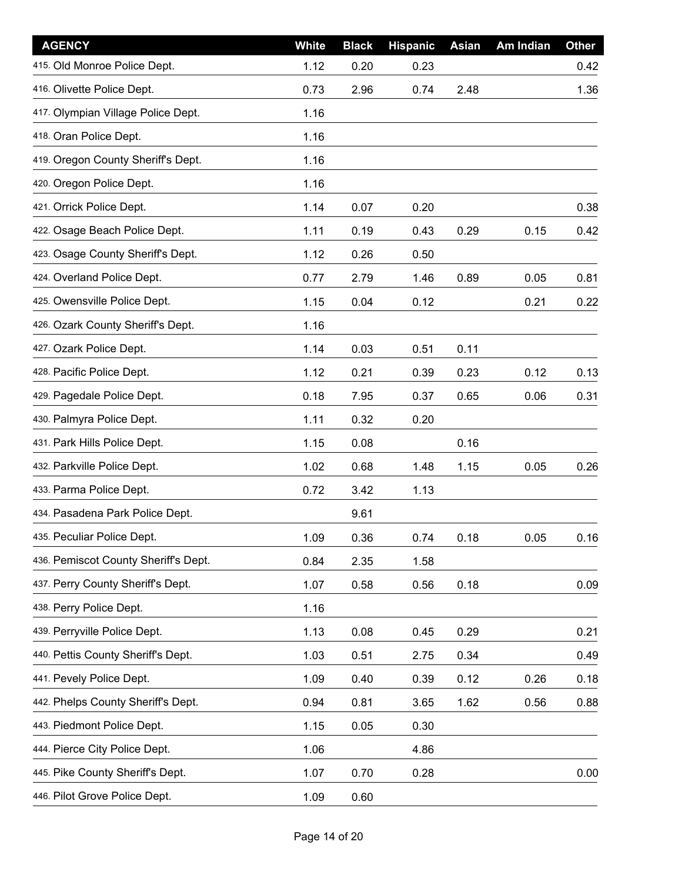| <b>AGENCY</b>                        | <b>White</b> | <b>Black</b> | <b>Hispanic</b> | Asian | Am Indian | <b>Other</b> |
|--------------------------------------|--------------|--------------|-----------------|-------|-----------|--------------|
| 415. Old Monroe Police Dept.         | 1.12         | 0.20         | 0.23            |       |           | 0.42         |
| 416. Olivette Police Dept.           | 0.73         | 2.96         | 0.74            | 2.48  |           | 1.36         |
| 417. Olympian Village Police Dept.   | 1.16         |              |                 |       |           |              |
| 418. Oran Police Dept.               | 1.16         |              |                 |       |           |              |
| 419. Oregon County Sheriff's Dept.   | 1.16         |              |                 |       |           |              |
| 420. Oregon Police Dept.             | 1.16         |              |                 |       |           |              |
| 421. Orrick Police Dept.             | 1.14         | 0.07         | 0.20            |       |           | 0.38         |
| 422. Osage Beach Police Dept.        | 1.11         | 0.19         | 0.43            | 0.29  | 0.15      | 0.42         |
| 423. Osage County Sheriff's Dept.    | 1.12         | 0.26         | 0.50            |       |           |              |
| 424. Overland Police Dept.           | 0.77         | 2.79         | 1.46            | 0.89  | 0.05      | 0.81         |
| 425. Owensville Police Dept.         | 1.15         | 0.04         | 0.12            |       | 0.21      | 0.22         |
| 426. Ozark County Sheriff's Dept.    | 1.16         |              |                 |       |           |              |
| 427. Ozark Police Dept.              | 1.14         | 0.03         | 0.51            | 0.11  |           |              |
| 428. Pacific Police Dept.            | 1.12         | 0.21         | 0.39            | 0.23  | 0.12      | 0.13         |
| 429. Pagedale Police Dept.           | 0.18         | 7.95         | 0.37            | 0.65  | 0.06      | 0.31         |
| 430. Palmyra Police Dept.            | 1.11         | 0.32         | 0.20            |       |           |              |
| 431. Park Hills Police Dept.         | 1.15         | 0.08         |                 | 0.16  |           |              |
| 432. Parkville Police Dept.          | 1.02         | 0.68         | 1.48            | 1.15  | 0.05      | 0.26         |
| 433. Parma Police Dept.              | 0.72         | 3.42         | 1.13            |       |           |              |
| 434. Pasadena Park Police Dept.      |              | 9.61         |                 |       |           |              |
| 435. Peculiar Police Dept.           | 1.09         | 0.36         | 0.74            | 0.18  | 0.05      | 0.16         |
| 436. Pemiscot County Sheriff's Dept. | 0.84         | 2.35         | 1.58            |       |           |              |
| 437. Perry County Sheriff's Dept.    | 1.07         | 0.58         | 0.56            | 0.18  |           | 0.09         |
| 438. Perry Police Dept.              | 1.16         |              |                 |       |           |              |
| 439. Perryville Police Dept.         | 1.13         | 0.08         | 0.45            | 0.29  |           | 0.21         |
| 440. Pettis County Sheriff's Dept.   | 1.03         | 0.51         | 2.75            | 0.34  |           | 0.49         |
| 441. Pevely Police Dept.             | 1.09         | 0.40         | 0.39            | 0.12  | 0.26      | 0.18         |
| 442. Phelps County Sheriff's Dept.   | 0.94         | 0.81         | 3.65            | 1.62  | 0.56      | 0.88         |
| 443. Piedmont Police Dept.           | 1.15         | 0.05         | 0.30            |       |           |              |
| 444. Pierce City Police Dept.        | 1.06         |              | 4.86            |       |           |              |
| 445. Pike County Sheriff's Dept.     | 1.07         | 0.70         | 0.28            |       |           | 0.00         |
| 446. Pilot Grove Police Dept.        | 1.09         | 0.60         |                 |       |           |              |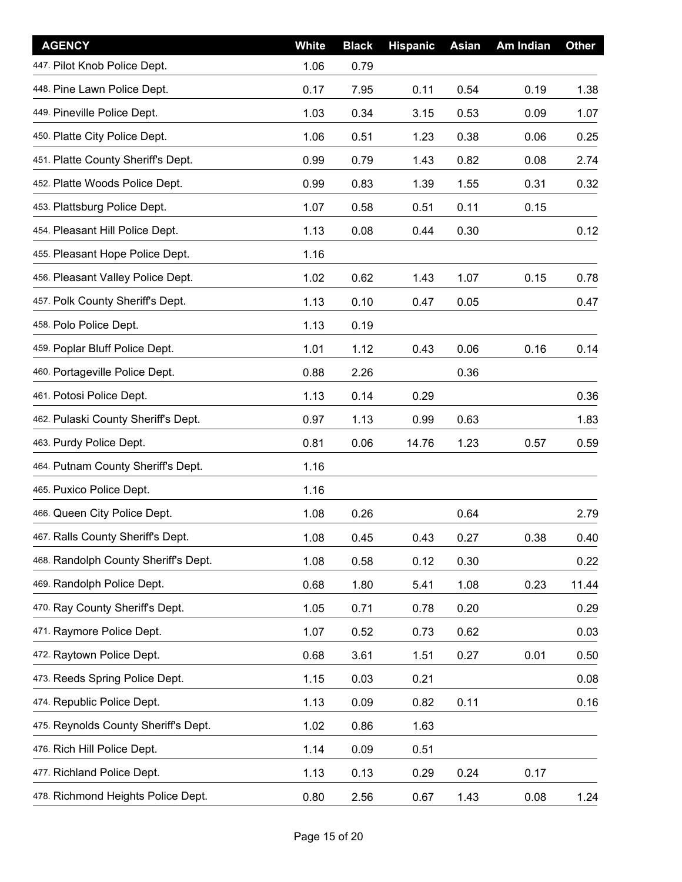| <b>AGENCY</b>                        | White | <b>Black</b> | <b>Hispanic</b> | Asian | Am Indian | <b>Other</b> |
|--------------------------------------|-------|--------------|-----------------|-------|-----------|--------------|
| 447. Pilot Knob Police Dept.         | 1.06  | 0.79         |                 |       |           |              |
| 448. Pine Lawn Police Dept.          | 0.17  | 7.95         | 0.11            | 0.54  | 0.19      | 1.38         |
| 449. Pineville Police Dept.          | 1.03  | 0.34         | 3.15            | 0.53  | 0.09      | 1.07         |
| 450. Platte City Police Dept.        | 1.06  | 0.51         | 1.23            | 0.38  | 0.06      | 0.25         |
| 451. Platte County Sheriff's Dept.   | 0.99  | 0.79         | 1.43            | 0.82  | 0.08      | 2.74         |
| 452. Platte Woods Police Dept.       | 0.99  | 0.83         | 1.39            | 1.55  | 0.31      | 0.32         |
| 453. Plattsburg Police Dept.         | 1.07  | 0.58         | 0.51            | 0.11  | 0.15      |              |
| 454. Pleasant Hill Police Dept.      | 1.13  | 0.08         | 0.44            | 0.30  |           | 0.12         |
| 455. Pleasant Hope Police Dept.      | 1.16  |              |                 |       |           |              |
| 456. Pleasant Valley Police Dept.    | 1.02  | 0.62         | 1.43            | 1.07  | 0.15      | 0.78         |
| 457. Polk County Sheriff's Dept.     | 1.13  | 0.10         | 0.47            | 0.05  |           | 0.47         |
| 458. Polo Police Dept.               | 1.13  | 0.19         |                 |       |           |              |
| 459. Poplar Bluff Police Dept.       | 1.01  | 1.12         | 0.43            | 0.06  | 0.16      | 0.14         |
| 460. Portageville Police Dept.       | 0.88  | 2.26         |                 | 0.36  |           |              |
| 461. Potosi Police Dept.             | 1.13  | 0.14         | 0.29            |       |           | 0.36         |
| 462. Pulaski County Sheriff's Dept.  | 0.97  | 1.13         | 0.99            | 0.63  |           | 1.83         |
| 463. Purdy Police Dept.              | 0.81  | 0.06         | 14.76           | 1.23  | 0.57      | 0.59         |
| 464. Putnam County Sheriff's Dept.   | 1.16  |              |                 |       |           |              |
| 465. Puxico Police Dept.             | 1.16  |              |                 |       |           |              |
| 466. Queen City Police Dept.         | 1.08  | 0.26         |                 | 0.64  |           | 2.79         |
| 467. Ralls County Sheriff's Dept.    | 1.08  | 0.45         | 0.43            | 0.27  | 0.38      | 0.40         |
| 468. Randolph County Sheriff's Dept. | 1.08  | 0.58         | 0.12            | 0.30  |           | 0.22         |
| 469. Randolph Police Dept.           | 0.68  | 1.80         | 5.41            | 1.08  | 0.23      | 11.44        |
| 470. Ray County Sheriff's Dept.      | 1.05  | 0.71         | 0.78            | 0.20  |           | 0.29         |
| 471. Raymore Police Dept.            | 1.07  | 0.52         | 0.73            | 0.62  |           | 0.03         |
| 472. Raytown Police Dept.            | 0.68  | 3.61         | 1.51            | 0.27  | 0.01      | 0.50         |
| 473. Reeds Spring Police Dept.       | 1.15  | 0.03         | 0.21            |       |           | 0.08         |
| 474. Republic Police Dept.           | 1.13  | 0.09         | 0.82            | 0.11  |           | 0.16         |
| 475. Reynolds County Sheriff's Dept. | 1.02  | 0.86         | 1.63            |       |           |              |
| 476. Rich Hill Police Dept.          | 1.14  | 0.09         | 0.51            |       |           |              |
| 477. Richland Police Dept.           | 1.13  | 0.13         | 0.29            | 0.24  | 0.17      |              |
| 478. Richmond Heights Police Dept.   | 0.80  | 2.56         | 0.67            | 1.43  | 0.08      | 1.24         |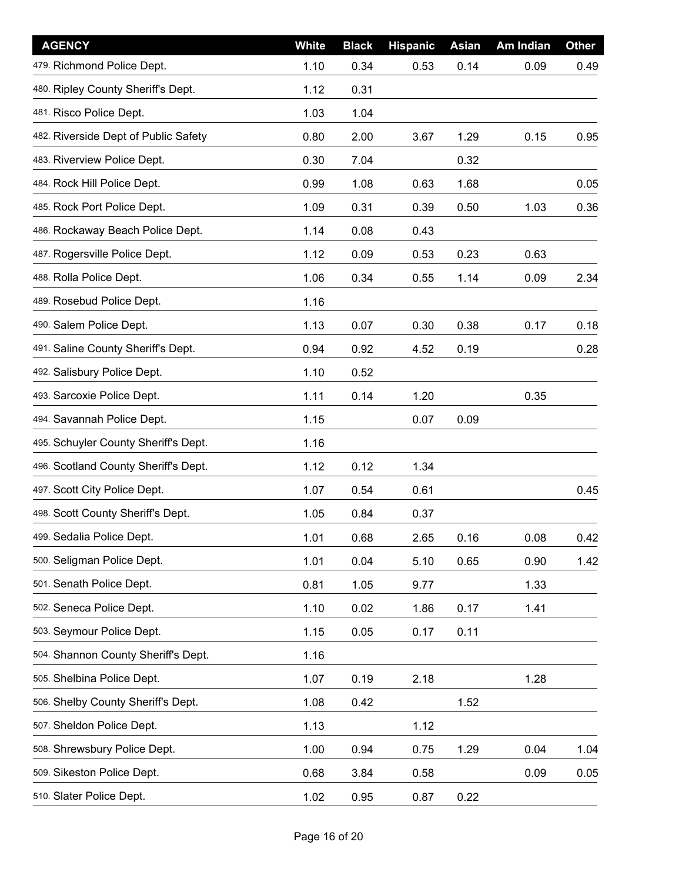| <b>AGENCY</b>                        | <b>White</b> | <b>Black</b> | <b>Hispanic</b> | Asian | Am Indian | <b>Other</b> |
|--------------------------------------|--------------|--------------|-----------------|-------|-----------|--------------|
| 479. Richmond Police Dept.           | 1.10         | 0.34         | 0.53            | 0.14  | 0.09      | 0.49         |
| 480. Ripley County Sheriff's Dept.   | 1.12         | 0.31         |                 |       |           |              |
| 481. Risco Police Dept.              | 1.03         | 1.04         |                 |       |           |              |
| 482. Riverside Dept of Public Safety | 0.80         | 2.00         | 3.67            | 1.29  | 0.15      | 0.95         |
| 483. Riverview Police Dept.          | 0.30         | 7.04         |                 | 0.32  |           |              |
| 484. Rock Hill Police Dept.          | 0.99         | 1.08         | 0.63            | 1.68  |           | 0.05         |
| 485. Rock Port Police Dept.          | 1.09         | 0.31         | 0.39            | 0.50  | 1.03      | 0.36         |
| 486. Rockaway Beach Police Dept.     | 1.14         | 0.08         | 0.43            |       |           |              |
| 487. Rogersville Police Dept.        | 1.12         | 0.09         | 0.53            | 0.23  | 0.63      |              |
| 488. Rolla Police Dept.              | 1.06         | 0.34         | 0.55            | 1.14  | 0.09      | 2.34         |
| 489. Rosebud Police Dept.            | 1.16         |              |                 |       |           |              |
| 490. Salem Police Dept.              | 1.13         | 0.07         | 0.30            | 0.38  | 0.17      | 0.18         |
| 491. Saline County Sheriff's Dept.   | 0.94         | 0.92         | 4.52            | 0.19  |           | 0.28         |
| 492. Salisbury Police Dept.          | 1.10         | 0.52         |                 |       |           |              |
| 493. Sarcoxie Police Dept.           | 1.11         | 0.14         | 1.20            |       | 0.35      |              |
| 494. Savannah Police Dept.           | 1.15         |              | 0.07            | 0.09  |           |              |
| 495. Schuyler County Sheriff's Dept. | 1.16         |              |                 |       |           |              |
| 496. Scotland County Sheriff's Dept. | 1.12         | 0.12         | 1.34            |       |           |              |
| 497. Scott City Police Dept.         | 1.07         | 0.54         | 0.61            |       |           | 0.45         |
| 498. Scott County Sheriff's Dept.    | 1.05         | 0.84         | 0.37            |       |           |              |
| 499. Sedalia Police Dept.            | 1.01         | 0.68         | 2.65            | 0.16  | 0.08      | 0.42         |
| 500. Seligman Police Dept.           | 1.01         | 0.04         | 5.10            | 0.65  | 0.90      | 1.42         |
| 501. Senath Police Dept.             | 0.81         | 1.05         | 9.77            |       | 1.33      |              |
| 502. Seneca Police Dept.             | 1.10         | 0.02         | 1.86            | 0.17  | 1.41      |              |
| 503. Seymour Police Dept.            | 1.15         | 0.05         | 0.17            | 0.11  |           |              |
| 504. Shannon County Sheriff's Dept.  | 1.16         |              |                 |       |           |              |
| 505. Shelbina Police Dept.           | 1.07         | 0.19         | 2.18            |       | 1.28      |              |
| 506. Shelby County Sheriff's Dept.   | 1.08         | 0.42         |                 | 1.52  |           |              |
| 507. Sheldon Police Dept.            | 1.13         |              | 1.12            |       |           |              |
| 508. Shrewsbury Police Dept.         | 1.00         | 0.94         | 0.75            | 1.29  | 0.04      | 1.04         |
| 509. Sikeston Police Dept.           | 0.68         | 3.84         | 0.58            |       | 0.09      | 0.05         |
| 510. Slater Police Dept.             | 1.02         | 0.95         | 0.87            | 0.22  |           |              |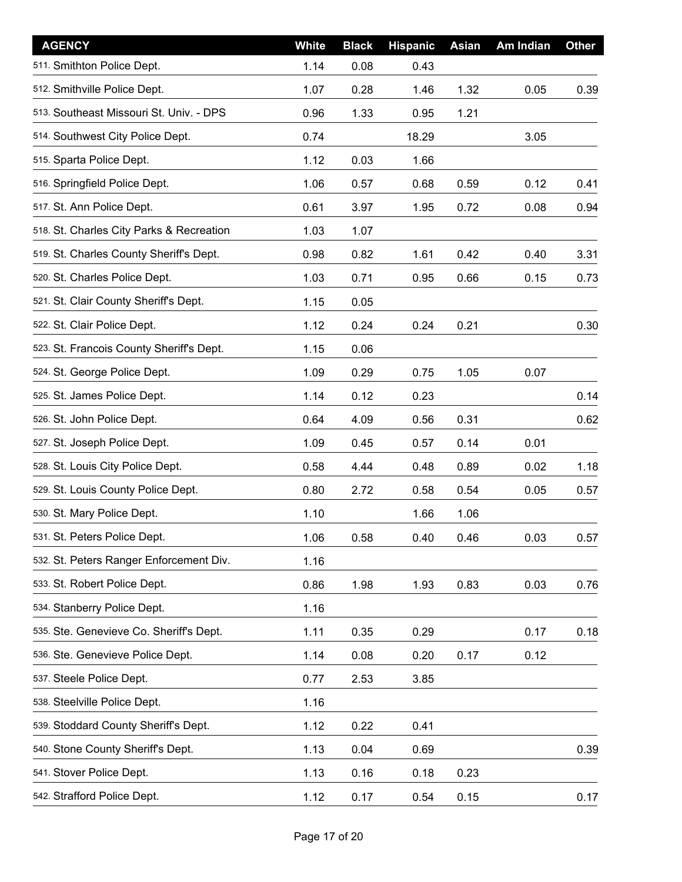| <b>AGENCY</b>                            | White | <b>Black</b> | <b>Hispanic</b> | <b>Asian</b> | Am Indian | <b>Other</b> |
|------------------------------------------|-------|--------------|-----------------|--------------|-----------|--------------|
| 511. Smithton Police Dept.               | 1.14  | 0.08         | 0.43            |              |           |              |
| 512. Smithville Police Dept.             | 1.07  | 0.28         | 1.46            | 1.32         | 0.05      | 0.39         |
| 513. Southeast Missouri St. Univ. - DPS  | 0.96  | 1.33         | 0.95            | 1.21         |           |              |
| 514. Southwest City Police Dept.         | 0.74  |              | 18.29           |              | 3.05      |              |
| 515. Sparta Police Dept.                 | 1.12  | 0.03         | 1.66            |              |           |              |
| 516. Springfield Police Dept.            | 1.06  | 0.57         | 0.68            | 0.59         | 0.12      | 0.41         |
| 517. St. Ann Police Dept.                | 0.61  | 3.97         | 1.95            | 0.72         | 0.08      | 0.94         |
| 518. St. Charles City Parks & Recreation | 1.03  | 1.07         |                 |              |           |              |
| 519. St. Charles County Sheriff's Dept.  | 0.98  | 0.82         | 1.61            | 0.42         | 0.40      | 3.31         |
| 520. St. Charles Police Dept.            | 1.03  | 0.71         | 0.95            | 0.66         | 0.15      | 0.73         |
| 521. St. Clair County Sheriff's Dept.    | 1.15  | 0.05         |                 |              |           |              |
| 522. St. Clair Police Dept.              | 1.12  | 0.24         | 0.24            | 0.21         |           | 0.30         |
| 523. St. Francois County Sheriff's Dept. | 1.15  | 0.06         |                 |              |           |              |
| 524. St. George Police Dept.             | 1.09  | 0.29         | 0.75            | 1.05         | 0.07      |              |
| 525. St. James Police Dept.              | 1.14  | 0.12         | 0.23            |              |           | 0.14         |
| 526. St. John Police Dept.               | 0.64  | 4.09         | 0.56            | 0.31         |           | 0.62         |
| 527. St. Joseph Police Dept.             | 1.09  | 0.45         | 0.57            | 0.14         | 0.01      |              |
| 528. St. Louis City Police Dept.         | 0.58  | 4.44         | 0.48            | 0.89         | 0.02      | 1.18         |
| 529. St. Louis County Police Dept.       | 0.80  | 2.72         | 0.58            | 0.54         | 0.05      | 0.57         |
| 530. St. Mary Police Dept.               | 1.10  |              | 1.66            | 1.06         |           |              |
| 531. St. Peters Police Dept.             | 1.06  | 0.58         | 0.40            | 0.46         | 0.03      | 0.57         |
| 532. St. Peters Ranger Enforcement Div.  | 1.16  |              |                 |              |           |              |
| 533. St. Robert Police Dept.             | 0.86  | 1.98         | 1.93            | 0.83         | 0.03      | 0.76         |
| 534. Stanberry Police Dept.              | 1.16  |              |                 |              |           |              |
| 535. Ste. Genevieve Co. Sheriff's Dept.  | 1.11  | 0.35         | 0.29            |              | 0.17      | 0.18         |
| 536. Ste. Genevieve Police Dept.         | 1.14  | 0.08         | 0.20            | 0.17         | 0.12      |              |
| 537. Steele Police Dept.                 | 0.77  | 2.53         | 3.85            |              |           |              |
| 538. Steelville Police Dept.             | 1.16  |              |                 |              |           |              |
| 539. Stoddard County Sheriff's Dept.     | 1.12  | 0.22         | 0.41            |              |           |              |
| 540. Stone County Sheriff's Dept.        | 1.13  | 0.04         | 0.69            |              |           | 0.39         |
| 541. Stover Police Dept.                 | 1.13  | 0.16         | 0.18            | 0.23         |           |              |
| 542. Strafford Police Dept.              | 1.12  | 0.17         | 0.54            | 0.15         |           | 0.17         |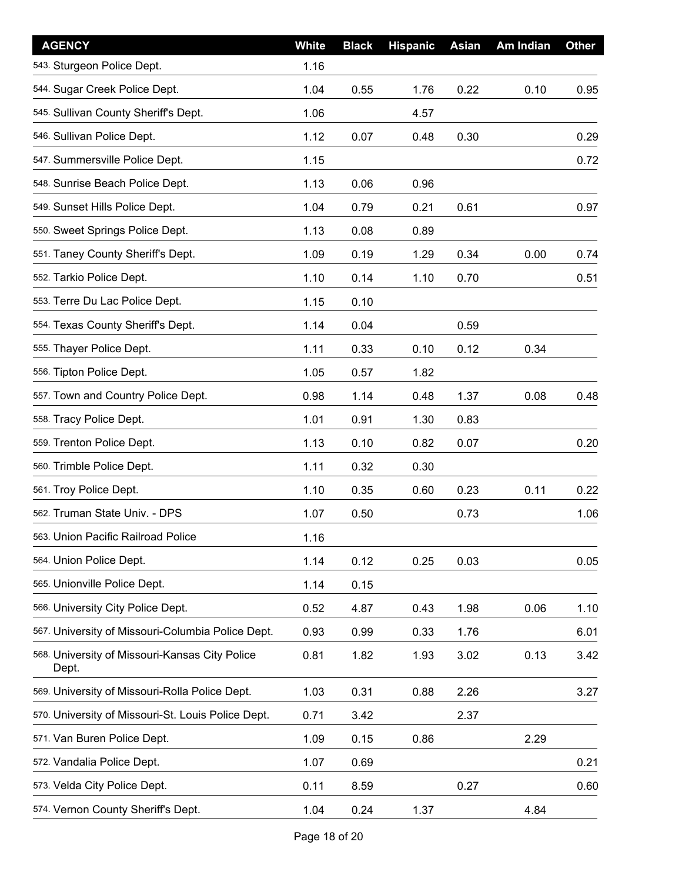| <b>AGENCY</b>                                           | White | <b>Black</b> | <b>Hispanic</b> | Asian | Am Indian | <b>Other</b> |
|---------------------------------------------------------|-------|--------------|-----------------|-------|-----------|--------------|
| 543. Sturgeon Police Dept.                              | 1.16  |              |                 |       |           |              |
| 544. Sugar Creek Police Dept.                           | 1.04  | 0.55         | 1.76            | 0.22  | 0.10      | 0.95         |
| 545. Sullivan County Sheriff's Dept.                    | 1.06  |              | 4.57            |       |           |              |
| 546. Sullivan Police Dept.                              | 1.12  | 0.07         | 0.48            | 0.30  |           | 0.29         |
| 547. Summersville Police Dept.                          | 1.15  |              |                 |       |           | 0.72         |
| 548. Sunrise Beach Police Dept.                         | 1.13  | 0.06         | 0.96            |       |           |              |
| 549. Sunset Hills Police Dept.                          | 1.04  | 0.79         | 0.21            | 0.61  |           | 0.97         |
| 550. Sweet Springs Police Dept.                         | 1.13  | 0.08         | 0.89            |       |           |              |
| 551. Taney County Sheriff's Dept.                       | 1.09  | 0.19         | 1.29            | 0.34  | 0.00      | 0.74         |
| 552. Tarkio Police Dept.                                | 1.10  | 0.14         | 1.10            | 0.70  |           | 0.51         |
| 553. Terre Du Lac Police Dept.                          | 1.15  | 0.10         |                 |       |           |              |
| 554. Texas County Sheriff's Dept.                       | 1.14  | 0.04         |                 | 0.59  |           |              |
| 555. Thayer Police Dept.                                | 1.11  | 0.33         | 0.10            | 0.12  | 0.34      |              |
| 556. Tipton Police Dept.                                | 1.05  | 0.57         | 1.82            |       |           |              |
| 557. Town and Country Police Dept.                      | 0.98  | 1.14         | 0.48            | 1.37  | 0.08      | 0.48         |
| 558. Tracy Police Dept.                                 | 1.01  | 0.91         | 1.30            | 0.83  |           |              |
| 559. Trenton Police Dept.                               | 1.13  | 0.10         | 0.82            | 0.07  |           | 0.20         |
| 560. Trimble Police Dept.                               | 1.11  | 0.32         | 0.30            |       |           |              |
| 561. Troy Police Dept.                                  | 1.10  | 0.35         | 0.60            | 0.23  | 0.11      | 0.22         |
| 562. Truman State Univ. - DPS                           | 1.07  | 0.50         |                 | 0.73  |           | 1.06         |
| 563. Union Pacific Railroad Police                      | 1.16  |              |                 |       |           |              |
| 564. Union Police Dept.                                 | 1.14  | 0.12         | 0.25            | 0.03  |           | 0.05         |
| 565. Unionville Police Dept.                            | 1.14  | 0.15         |                 |       |           |              |
| 566. University City Police Dept.                       | 0.52  | 4.87         | 0.43            | 1.98  | 0.06      | 1.10         |
| 567. University of Missouri-Columbia Police Dept.       | 0.93  | 0.99         | 0.33            | 1.76  |           | 6.01         |
| 568. University of Missouri-Kansas City Police<br>Dept. | 0.81  | 1.82         | 1.93            | 3.02  | 0.13      | 3.42         |
| 569. University of Missouri-Rolla Police Dept.          | 1.03  | 0.31         | 0.88            | 2.26  |           | 3.27         |
| 570. University of Missouri-St. Louis Police Dept.      | 0.71  | 3.42         |                 | 2.37  |           |              |
| 571. Van Buren Police Dept.                             | 1.09  | 0.15         | 0.86            |       | 2.29      |              |
| 572. Vandalia Police Dept.                              | 1.07  | 0.69         |                 |       |           | 0.21         |
| 573. Velda City Police Dept.                            | 0.11  | 8.59         |                 | 0.27  |           | 0.60         |
| 574. Vernon County Sheriff's Dept.                      | 1.04  | 0.24         | 1.37            |       | 4.84      |              |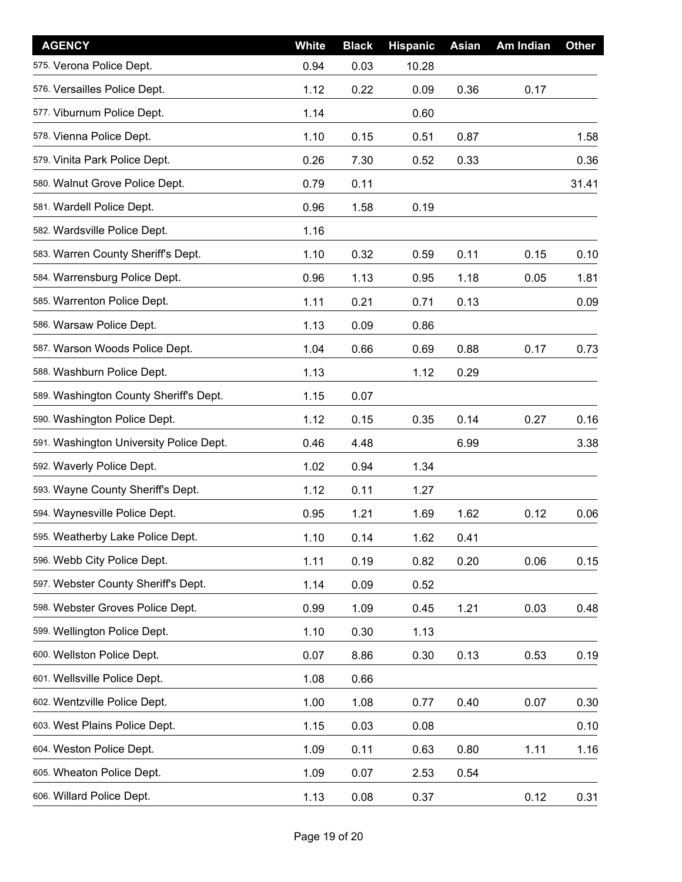| <b>AGENCY</b>                           | White | <b>Black</b> | <b>Hispanic</b> | Asian | Am Indian | <b>Other</b> |
|-----------------------------------------|-------|--------------|-----------------|-------|-----------|--------------|
| 575. Verona Police Dept.                | 0.94  | 0.03         | 10.28           |       |           |              |
| 576. Versailles Police Dept.            | 1.12  | 0.22         | 0.09            | 0.36  | 0.17      |              |
| 577. Viburnum Police Dept.              | 1.14  |              | 0.60            |       |           |              |
| 578. Vienna Police Dept.                | 1.10  | 0.15         | 0.51            | 0.87  |           | 1.58         |
| 579. Vinita Park Police Dept.           | 0.26  | 7.30         | 0.52            | 0.33  |           | 0.36         |
| 580. Walnut Grove Police Dept.          | 0.79  | 0.11         |                 |       |           | 31.41        |
| 581. Wardell Police Dept.               | 0.96  | 1.58         | 0.19            |       |           |              |
| 582. Wardsville Police Dept.            | 1.16  |              |                 |       |           |              |
| 583. Warren County Sheriff's Dept.      | 1.10  | 0.32         | 0.59            | 0.11  | 0.15      | 0.10         |
| 584. Warrensburg Police Dept.           | 0.96  | 1.13         | 0.95            | 1.18  | 0.05      | 1.81         |
| 585. Warrenton Police Dept.             | 1.11  | 0.21         | 0.71            | 0.13  |           | 0.09         |
| 586. Warsaw Police Dept.                | 1.13  | 0.09         | 0.86            |       |           |              |
| 587. Warson Woods Police Dept.          | 1.04  | 0.66         | 0.69            | 0.88  | 0.17      | 0.73         |
| 588. Washburn Police Dept.              | 1.13  |              | 1.12            | 0.29  |           |              |
| 589. Washington County Sheriff's Dept.  | 1.15  | 0.07         |                 |       |           |              |
| 590. Washington Police Dept.            | 1.12  | 0.15         | 0.35            | 0.14  | 0.27      | 0.16         |
| 591. Washington University Police Dept. | 0.46  | 4.48         |                 | 6.99  |           | 3.38         |
| 592. Waverly Police Dept.               | 1.02  | 0.94         | 1.34            |       |           |              |
| 593. Wayne County Sheriff's Dept.       | 1.12  | 0.11         | 1.27            |       |           |              |
| 594. Waynesville Police Dept.           | 0.95  | 1.21         | 1.69            | 1.62  | 0.12      | 0.06         |
| 595. Weatherby Lake Police Dept.        | 1.10  | 0.14         | 1.62            | 0.41  |           |              |
| 596. Webb City Police Dept.             | 1.11  | 0.19         | 0.82            | 0.20  | 0.06      | 0.15         |
| 597. Webster County Sheriff's Dept.     | 1.14  | 0.09         | 0.52            |       |           |              |
| 598. Webster Groves Police Dept.        | 0.99  | 1.09         | 0.45            | 1.21  | 0.03      | 0.48         |
| 599. Wellington Police Dept.            | 1.10  | 0.30         | 1.13            |       |           |              |
| 600. Wellston Police Dept.              | 0.07  | 8.86         | 0.30            | 0.13  | 0.53      | 0.19         |
| 601. Wellsville Police Dept.            | 1.08  | 0.66         |                 |       |           |              |
| 602. Wentzville Police Dept.            | 1.00  | 1.08         | 0.77            | 0.40  | 0.07      | 0.30         |
| 603. West Plains Police Dept.           | 1.15  | 0.03         | 0.08            |       |           | 0.10         |
| 604. Weston Police Dept.                | 1.09  | 0.11         | 0.63            | 0.80  | 1.11      | 1.16         |
| 605. Wheaton Police Dept.               | 1.09  | 0.07         | 2.53            | 0.54  |           |              |
| 606. Willard Police Dept.               | 1.13  | 0.08         | 0.37            |       | 0.12      | 0.31         |